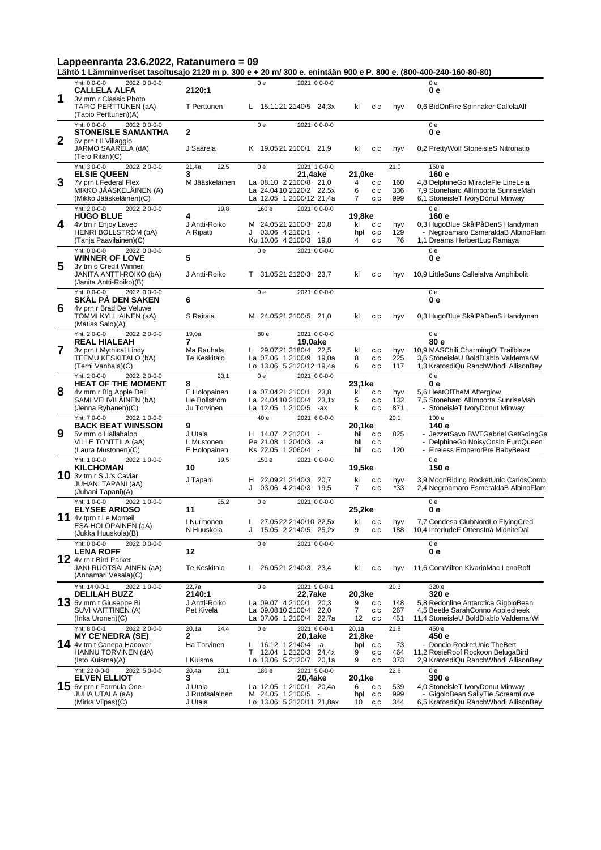**Lähtö 1 Lämminveriset tasoitusajo 2120 m p. 300 e + 20 m/ 300 e. enintään 900 e P. 800 e. (800-400-240-160-80-80)**

|              | Yht: 0 0-0-0<br>2022: 0 0-0-0<br><b>CALLELA ALFA</b>                                 | 2120:1                       | 0 <sub>e</sub>                         | 2021: 0 0-0-0                                                                 |                 |                   |                   | 0e<br>0 e                                                                                                     |
|--------------|--------------------------------------------------------------------------------------|------------------------------|----------------------------------------|-------------------------------------------------------------------------------|-----------------|-------------------|-------------------|---------------------------------------------------------------------------------------------------------------|
| 1            | 3v mrn r Classic Photo<br>TAPIO PERTTUNEN (aA)<br>(Tapio Perttunen)(A)               | T Perttunen                  |                                        | L 15.1121 2140/5 24,3x                                                        | kl              | c c               | hyv               | 0.6 BidOnFire Spinnaker CallelaAlf                                                                            |
| $\mathbf{2}$ | Yht: 0 0-0-0<br>2022: 0 0-0-0<br><b>STONEISLE SAMANTHA</b><br>5y prn t Il Villaggio  | $\mathbf{2}$                 | 0e                                     | 2021: 0 0-0-0                                                                 |                 |                   |                   | 0e<br>0 e                                                                                                     |
|              | JARMO SAARELA (dA)<br>(Tero Ritari)(C)                                               | J Saarela                    |                                        | K 19.0521 2100/1 21,9                                                         | kl              | c c               | hyv               | 0,2 PrettyWolf StoneisleS Nitronatio                                                                          |
|              | Yht: 3 0-0-0<br>2022: 20--00<br><b>ELSIE QUEEN</b>                                   | 21,4a<br>22,5<br>3           | 0 e                                    | 2021: 1 0-0-0<br>21,4ake                                                      | 21,0ke          |                   | 21,0              | 160 e<br>160 e                                                                                                |
| 3            | 7v prn t Federal Flex<br>MIKKO JAASKELAINEN (A)<br>(Mikko Jääskeläinen)(C)           | M Jääskeläinen               |                                        | La 08.10 2 2100/8 21.0<br>La 24.0410 2120/2 22,5x<br>La 12.05 1 2100/12 21,4a | 4<br>6<br>7     | c c<br>c c<br>c c | 160<br>336<br>999 | 4,8 DelphineGo MiracleFle LineLeia<br>7,9 Stonehard AllImporta SunriseMah<br>6,1 StoneisleT IvoryDonut Minway |
|              | Yht: 20--00<br>2022: 20--00<br><b>HUGO BLUE</b>                                      | 19,8<br>4                    | 160 e                                  | 2021: 0 0-0-0                                                                 | 19,8ke          |                   |                   | 0 <sub>e</sub><br>160 e                                                                                       |
| 4            | 4v trn r Enjoy Lavec                                                                 | J Antti-Roiko                |                                        | M 24.0521 2100/3 20.8                                                         | kl              | c c               | hyv               | 0,3 HugoBlue SkålPåDenS Handyman                                                                              |
|              | <b>HENRI BOLLSTROM (bA)</b><br>(Tanja Paavilainen)(C)                                | A Ripatti                    | 03.06 4 2160/1<br>J                    | $\overline{a}$<br>Ku 10.06 4 2100/3 19,8                                      | hpl cc<br>4     | c c               | 129<br>76         | - Negroamaro EsmeraldaB AlbinoFlam<br>1,1 Dreams HerbertLuc Ramaya                                            |
| 5            | Yht: 0 0-0-0<br>2022: 0 0-0-0<br><b>WINNER OF LOVE</b><br>3v trn o Credit Winner     | 5                            | 0 <sub>e</sub>                         | 2021: 0 0-0-0                                                                 |                 |                   |                   | 0 <sub>e</sub><br>0 e                                                                                         |
|              | JANITA ANTTI-ROIKO (bA)<br>(Janita Antti-Roiko)(B)                                   | J Antti-Roiko                |                                        | T 31.0521 2120/3 23,7                                                         | kl              | c c               | hyv               | 10,9 LittleSuns Callelalva Amphibolit                                                                         |
| 6            | Yht: 0 0-0-0<br>2022: 0 0-0-0<br><b>SKAL PA DEN SAKEN</b><br>4v prn r Brad De Veluwe | 6                            | 0 <sub>e</sub>                         | 2021: 0 0-0-0                                                                 |                 |                   |                   | 0 <sub>e</sub><br>0 e                                                                                         |
|              | TOMMI KYLLIÄINEN (aA)<br>(Matias Salo)(A)                                            | S Raitala                    |                                        | M 24.0521 2100/5 21.0                                                         | kl              | c c               | hyv               | 0,3 HugoBlue SkålPåDenS Handyman                                                                              |
|              | 2022: 20--00<br>Yht: 20--00<br><b>REAL HIALEAH</b>                                   | 19,0a<br>7                   | 80 e                                   | 2021: 0 0-0-0<br>19.0ake                                                      |                 |                   |                   | 0e<br>80 e                                                                                                    |
| 7            | 3v prn t Mythical Lindy<br>TEEMU KESKITALO (bA)                                      | Ma Rauhala<br>Te Keskitalo   |                                        | L 29.0721 2180/4 22,5<br>La 07.06 1 2100/9 19,0a                              | kl<br>8         | c c<br>c c        | hyv<br>225        | 10,9 MASChili CharmingOl Trailblaze<br>3,6 StoneisleU BoldDiablo ValdemarWi                                   |
|              | (Terhi Vanhala)(C)                                                                   |                              |                                        | Lo 13.06 5 2120/12 19,4a                                                      | 6               | c c               | 117               | 1,3 KratosdiQu RanchWhodi AllisonBey                                                                          |
|              | Yht: 20--00<br>2022: 20--00<br><b>HEAT OF THE MOMENT</b>                             | 23,1<br>8                    | 0 <sub>e</sub>                         | 2021: 0 0-0-0                                                                 | 23,1ke          |                   |                   | 0 <sub>e</sub><br>0 e                                                                                         |
| 8            | 4v mrn r Big Apple Deli<br>SAMI VEHVILÄINEN (bA)                                     | E Holopainen<br>He Bollström | La 07.0421 2100/1<br>La 24.0410 2100/4 | 23,8<br>23.1x                                                                 | kl<br>5         | c c<br>c c        | hyv<br>132        | 5,6 HeatOfTheM Afterglow<br>7,5 Stonehard AllImporta SunriseMah                                               |
|              | (Jenna Ryhänen)(C)                                                                   | Ju Torvinen                  |                                        | La 12.05 1 2100/5 - ax                                                        | k               | c c               | 871               | StoneisleT IvoryDonut Minway                                                                                  |
|              | Yht: 7 0-0-0<br>2022: 1 0-0-0<br><b>BACK BEAT WINSSON</b>                            | 9                            | 40 e                                   | 2021: 6 0-0-0                                                                 | 20,1ke          |                   | 20,1              | 100 e<br>140 e                                                                                                |
| 9            | 5v mrn o Hallabaloo<br>VILLE TONTTILA (aA)                                           | J Utala<br>L Mustonen        | H 14.07 2 2120/1                       | $\sim$<br>Pe 21.08 1 2040/3 -a                                                | hll<br>hll      | c c<br>c c        | 825               | - JezzetSavo BWTGabriel GetGoingGa<br>- DelphineGo NoisyOnslo EuroQueen                                       |
|              | (Laura Mustonen)(C)                                                                  | E Holopainen                 | Ks 22.05 1 2060/4                      | $\overline{\phantom{a}}$                                                      | hll             | c c               | 120               | - Fireless EmperorPre BabyBeast                                                                               |
|              | Yht: 1 0-0-0<br>2022: 1 0-0-0<br><b>KILCHOMAN</b>                                    | 19,5<br>10                   | 150 e                                  | 2021: 0 0-0-0                                                                 | 19,5ke          |                   |                   | 0 <sub>e</sub><br>150 e                                                                                       |
|              | 10 3v trn r S.J.'s Caviar<br>JUHANI TAPANI (aA)<br>(Juhani Tapani)(A)                | J Tapani                     | H 22.0921 2140/3<br>J                  | 20,7<br>03.06 4 2140/3<br>19,5                                                | kl<br>7         | c c<br>c c        | hyv<br>*33        | 3,9 MoonRiding RocketUnic CarlosComb<br>2,4 Negroamaro EsmeraldaB AlbinoFlam                                  |
|              | Yht: 10--00<br>2022: 1 0-0-0<br><b>ELYSEE ARIOSO</b>                                 | 25,2<br>11                   | 0 <sub>e</sub>                         | 2021: 0 0-0-0                                                                 | 25,2ke          |                   |                   | 0e<br>0е                                                                                                      |
| 11           | 4v tprn t Le Monteil<br>ESA HOLOPAINEN (aA)<br>(Jukka Huuskola)(B)                   | I Nurmonen<br>N Huuskola     | L.<br>J                                | 27.05.22 2140/10 22.5x<br>15.05 2 2140/5 25,2x                                | kl cc<br>9      | c c               | 188               | hvv 7.7 Condesa ClubNordLo FlyingCred<br>10,4 InterludeF OttensIna MidniteDai                                 |
|              | Yht: 0 0-0-0<br>2022: 0 0-0-0<br><b>LENA ROFF</b><br>12 4v rn t Bird Parker          | 12                           | 0 <sub>e</sub>                         | 2021: 0 0-0-0                                                                 |                 |                   |                   | 0e<br>0 e                                                                                                     |
|              | JANI RUOTSALAINEN (aA)<br>(Annamari Vesala)(C)                                       | Te Keskitalo                 |                                        | L 26.0521 2140/3 23,4                                                         | kl              | c c               | hyv               | 11,6 ComMilton KivarinMac LenaRoff                                                                            |
|              | Yht: 14 0-0-1<br>2022: 1 0-0-0<br><b>DELILAH BUZZ</b>                                | 22,7a<br>2140:1              | 0e                                     | 2021: 9 0-0-1<br>22,7ake                                                      | 20,3ke          |                   | 20,3              | 320 e<br>320 e                                                                                                |
|              | 13 6v mrn t Giuseppe Bi<br>SUVI VAITTINEN (A)                                        | J Antti-Roiko<br>Pet Kivelä  | La 09.07 4 2100/1<br>La 09.0810 2100/4 | 20,3<br>22,0                                                                  | 9<br>7          | c c<br>c c        | 148<br>267        | 5,8 Redonline Antarctica GigoloBean<br>4,5 Beetle SarahConno Applecheek                                       |
|              | (Inka Uronen)(C)                                                                     |                              |                                        | La 07.06 1 2100/4 22,7a                                                       | 12              | c c               | 451               | 11,4 StoneisleU BoldDiablo ValdemarWi                                                                         |
|              | Yht: 8 0-0-1<br>2022: 20--00-0<br><b>MY CE'NEDRA (SE)</b>                            | 20,1a<br>24,4<br>2           | 0 <sub>e</sub>                         | 2021: 6 0-0-1<br>20,1ake                                                      | 20,1a<br>21,8ke |                   | 21,8              | 450 e<br>450 e                                                                                                |
|              | <b>14</b> 4v trn t Canepa Hanover<br>HANNU TORVINEN (dA)                             | Ha Torvinen                  | L<br>т                                 | 16.12 1 2140/4<br>-a<br>12.04 1 2120/3<br>24,4x                               | hpl<br>9        | c c<br>c c        | 73<br>464         | - Doncio RocketUnic TheBert<br>11.2 RosieRoof Rockoon BelugaBird                                              |
|              | (Isto Kuisma)(A)                                                                     | I Kuisma                     | Lo 13.06 5 2120/7                      | 20,1a                                                                         | 9               | сc                | 373               | 2,9 KratosdiQu RanchWhodi AllisonBey                                                                          |
|              | Yht: 22 0-0-0<br>2022: 5 0-0-0<br><b>ELVEN ELLIOT</b>                                | 20,4a<br>20,1<br>3           | 180 e                                  | 2021: 50--00-0<br>20,4ake                                                     | 20,1ke          |                   | 22,6              | 0e<br>390 e                                                                                                   |
|              | $15$ 6v prn r Formula One                                                            | J Utala                      |                                        | La 12.05 1 2100/1 20,4a                                                       | 6               | c c               | 539               | 4,0 StoneisleT IvoryDonut Minway                                                                              |
|              | JUHA UTALA (aA)<br>(Mirka Vilpas)(C)                                                 | J Ruotsalainen<br>J Utala    | M 24.05 1 2100/5                       | Lo 13.06 5 2120/11 21,8ax                                                     | hpl<br>10       | c c<br>c c        | 999<br>344        | GigoloBean SallyTie ScreamLove<br>6,5 KratosdiQu RanchWhodi AllisonBey                                        |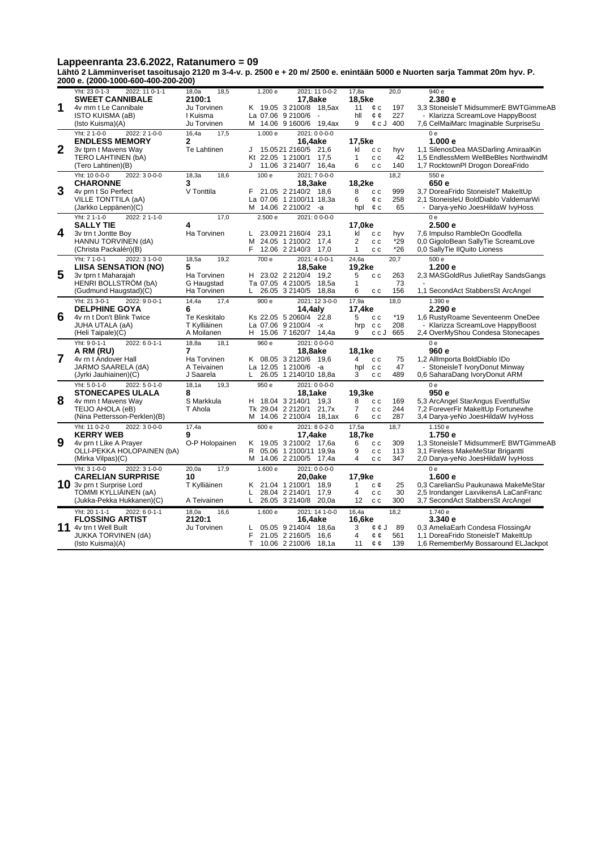Lappeenranta 23.6.2022, Ratanumero = 09<br>Lähtö 2 Lämminveriset tasoitusajo 2120 m 3-4-v. p. 2500 e + 20 m/ 2500 e. enintään 5000 e Nuorten sarja Tammat 20m hyv. P.<br>2000 e. (2000-1000-600-400-200-200)

|              | $500$ C. (2000 1000 000 400 200 200                |                            |                   |                                                   |                          |                  |                                                                            |
|--------------|----------------------------------------------------|----------------------------|-------------------|---------------------------------------------------|--------------------------|------------------|----------------------------------------------------------------------------|
|              | Yht: 23 0-1-3<br>2022: 11 0-1-1                    | 18,5<br>18,0a              | 1.200 e           | 2021: 11 0-0-2                                    | 17.8a                    | 20.0             | 940 e                                                                      |
| 1            | <b>SWEET CANNIBALE</b>                             | 2100:1                     |                   | 17,8ake                                           | 18,5ke                   |                  | 2.380e                                                                     |
|              | 4v mrn t Le Cannibale<br>ISTO KUISMA (aB)          | Ju Torvinen<br>I Kuisma    | La 07.06 9 2100/6 | K 19.05 3 2100/8 18,5ax<br>$\sim$                 | 11<br>¢с<br>hll<br>¢¢    | 197<br>227       | 3,3 StoneisleT MidsummerE BWTGimmeAB<br>Klarizza ScreamLove HappyBoost     |
|              | (Isto Kuisma)(A)                                   | Ju Torvinen                |                   | M 14.06 9 1600/6 19,4ax                           | 9                        | 400<br>¢cJ       | 7,6 CelMaiMarc Imaginable SurpriseSu                                       |
|              | Yht: 2 1-0-0<br>2022: 21--00-0                     | 16,4a<br>17,5              | 1.000 e           | 2021: 0 0-0-0                                     |                          |                  | 0 <sub>e</sub>                                                             |
|              | <b>ENDLESS MEMORY</b>                              | $\mathbf{2}$               |                   | 16,4ake                                           | 17,5ke                   |                  | 1.000 e                                                                    |
| $\mathbf{2}$ | 3v tprn t Mavens Way                               | Te Lahtinen                | J                 | 15.0521 2160/5 21,6                               | kl<br>c c                | hyv              | 1,1 SilenosDea MASDarling AmiraalKin                                       |
|              | TERO LAHTINEN (bA)                                 |                            | Kt 22.05 1 2100/1 | 17,5                                              | 1<br>c c                 | 42               | 1,5 EndlessMem WellBeBles NorthwindM                                       |
|              | (Tero Lahtinen)(B)                                 |                            |                   | J 11.06 3 2140/7 16,4a                            | 6<br>c c                 | 140              | 1,7 RocktownPl Drogon DoreaFrido                                           |
|              | Yht: 10 0-0-0<br>2022: 30--00                      | 18,3a<br>18,6              | 100 e             | 2021: 70--00-0                                    |                          | 18,2             | 550 e                                                                      |
| 3            | <b>CHARONNE</b>                                    | 3                          |                   | 18,3ake                                           | 18,2ke                   |                  | 650 e                                                                      |
|              | 4v prn t So Perfect<br>VILLE TONTTILA (aA)         | V Tonttila                 |                   | F 21.05 2 2140/2 18.6<br>La 07.06 1 2100/11 18,3a | 8<br>c c<br>6<br>¢с      | 999<br>258       | 3,7 DoreaFrido StoneisleT MakeltUp<br>2,1 StoneisleU BoldDiablo ValdemarWi |
|              | (Jarkko Leppänen)(C)                               |                            | м                 | 14.06 2 2100/2 -a                                 | hpl<br>¢с                | 65               | Darya-yeNo JoesHildaW IvyHoss                                              |
|              | Yht: 2 1-1-0<br>2022: 2 1-1-0                      | 17,0                       | 2.500 e           | 2021: 0 0-0-0                                     |                          |                  | 0 <sub>e</sub>                                                             |
|              | <b>SALLY TIE</b>                                   | 4                          |                   |                                                   | 17,0ke                   |                  | 2.500e                                                                     |
| 4            | 3v trn t Jontte Boy                                | Ha Torvinen                | L.                | 23.0921 2160/4<br>23,1                            | kl<br>c c                | hyv              | 7,6 Impulso RambleOn Goodfella                                             |
|              | HANNU TORVINEN (dA)                                |                            | м                 | 24.05 1 2100/2 17,4                               | 2<br>c c                 | $*29$            | 0.0 GigoloBean SallyTie ScreamLove                                         |
|              | (Christa Packalén)(B)                              |                            | F                 | 12.06 2 2140/3 17,0                               | $\mathbf{1}$<br>c c      | $*26$            | 0,0 SallyTie IlQuito Lioness                                               |
|              | Yht: 7 1-0-1<br>2022: 3 1-0-0                      | 18.5a<br>19.2              | $\frac{1}{700}$ e | $2021:40-0-1$                                     | $\overline{24.6a}$       | 20.7             | 500e                                                                       |
| 5            | <b>LIISA SENSATION (NO)</b>                        | 5                          |                   | 18,5ake                                           | 19,2ke                   |                  | 1.200 e                                                                    |
|              | 3v tprn t Maharajah<br><b>HENRI BOLLSTROM (bA)</b> | Ha Torvinen<br>G Haugstad  |                   | H 23.02 2 2120/4 19,2<br>Ta 07.05 4 2100/5 18,5a  | 5<br>c c<br>$\mathbf{1}$ | 263<br>73        | 2,3 MASGoldRus JulietRay SandsGangs                                        |
|              | (Gudmund Haugstad)(C)                              | Ha Torvinen                |                   | L 26.05 3 2140/5 18,8a                            | 6<br>c c                 | 156              | 1,1 SecondAct StabbersSt ArcAngel                                          |
|              | Yht: 21 3-0-1<br>2022: 9 0-0-1                     | 14,4a<br>17.4              | 900 e             | 2021: 12 3-0-0                                    | 17,9a                    | 18.0             | 1.390 e                                                                    |
|              | <b>DELPHINE GOYA</b>                               | 6                          |                   | 14,4aly                                           | 17,4ke                   |                  | 2.290 e                                                                    |
| 6            | 4v rn t Don't Blink Twice                          | Te Keskitalo               |                   | Ks 22.05 5 2060/4 22.8                            | 5<br>c c                 | $*19$            | 1,6 RustyRoame Seventeenm OneDee                                           |
|              | JUHA UTALA (aA)                                    | T Kylliäinen               | La 07.06 9 2100/4 | $-x$                                              | c c<br>hrp               | 208              | Klarizza ScreamLove HappyBoost                                             |
|              | (Heli Taipale)(C)                                  | A Moilanen                 |                   | H 15.06 7 1620/7 14,4a                            | 9                        | ccJ<br>665       | 2,4 OverMyShou Condesa Stonecapes                                          |
|              | Yht: 9 0-1-1<br>2022: 6 0-1-1                      | 18,8a<br>18,1              | 960 e             | 2021: 0 0-0-0                                     |                          |                  | 0 <sub>e</sub>                                                             |
| 7            | A RM (RU)<br>4v rn t Andover Hall                  | 7                          |                   | 18,8ake<br>K 08.05 3 2120/6 19.6                  | 18,1ke<br>$\overline{4}$ |                  | 960 e<br>1,2 AllImporta BoldDiablo IDo                                     |
|              | JARMO SAARELA (dA)                                 | Ha Torvinen<br>A Teivainen |                   | La 12.05 1 2100/6 -a                              | c c<br>hpl<br>c c        | 75<br>47         | StoneisleT IvoryDonut Minway                                               |
|              | (Jyrki Jauhiainen)(C)                              | J Saarela                  | L.                | 26.05 1 2140/10 18,8a                             | 3<br>c c                 | 489              | 0.6 SaharaDang IvoryDonut ARM                                              |
|              | Yht: 50-1-0<br>2022: 50-1-0                        | 18.1a<br>19,3              | 950e              | 2021: 0 0-0-0                                     |                          |                  | 0e                                                                         |
|              | <b>STONECAPES ULALA</b>                            | 8                          |                   | <b>18,1ake</b>                                    | 19,3ke                   |                  | 950 e                                                                      |
| 8            | 4v mrn t Mavens Way                                | S Markkula                 |                   | H 18.04 3 2140/1 19,3                             | 8<br>c c                 | 169              | 5.3 ArcAngel StarAngus EventfulSw                                          |
|              | TEIJO AHOLA (eB)                                   | T Ahola                    |                   | Tk 29.04 2 2120/1 21,7x                           | $\overline{7}$<br>c c    | 244              | 7,2 ForeverFir MakeltUp Fortunewhe                                         |
|              | (Nina Pettersson-Perklen)(B)                       |                            |                   | M 14.06 2 2100/4 18,1ax                           | 6<br>c c                 | 287              | 3,4 Darya-yeNo JoesHildaW IvyHoss                                          |
|              | Yht: 11 0-2-0<br>2022: 3 0-0-0                     | 17,4a<br>9                 | 600 e             | 2021: 80--20                                      | 17,5a                    | 18,7             | 1.150 e                                                                    |
| 9            | <b>KERRY WEB</b><br>4v prn t Like A Prayer         | O-P Holopainen             | K.                | 17,4ake<br>19.05 3 2100/2 17,6a                   | 18,7ke<br>6<br>c c       | 309              | 1.750 e<br>1,3 StoneisleT MidsummerE BWTGimmeAB                            |
|              | OLLI-PEKKA HOLOPAINEN (bA)                         |                            | R.                | 05.06 1 2100/11 19,9a                             | 9<br>c c                 | 113              | 3.1 Fireless MakeMeStar Brigantti                                          |
|              | (Mirka Vilpas)(C)                                  |                            | м                 | 14.06 2 2100/5 17,4a                              | $\overline{4}$<br>c c    | 347              | 2,0 Darya-yeNo JoesHildaW lvyHoss                                          |
|              | Yht: 3 1-0-0<br>2022: 3 1-0-0                      | 20.0a<br>17,9              | 1.600 e           | 2021: 0 0-0-0                                     |                          |                  | 0 <sub>e</sub>                                                             |
|              | <b>CARELIAN SURPRISE</b>                           | 10                         |                   | 20,0ake                                           | 17,9ke                   |                  | 1.600 e                                                                    |
|              | 10 3v prn t Surprise Lord                          | T Kylliäinen               | K 21.04 1 2100/1  | 18.9                                              | $\mathbf{1}$<br>с¢       | 25               | 0,3 CarelianSu Paukunawa MakeMeStar                                        |
|              | TOMMI KYLLIAINEN (aA)                              |                            | L                 | 28.04 2 2140/1<br>17,9                            | 4<br>c c                 | 30               | 2,5 Irondanger LaxvikensA LaCanFranc                                       |
|              | (Jukka-Pekka Hukkanen)(C)                          | A Teivainen                | L.                | 26.05 3 2140/8 20,0a                              | 12<br>c c                | 300              | 3,7 SecondAct StabbersSt ArcAngel                                          |
|              | 2022: 60-1-1<br>Yht: 20 1-1-1                      | 18,0a<br>16,6              | 1.600 e           | 2021: 14 1-0-0                                    | 16,4a                    | 18,2             | 1.740 e                                                                    |
|              | <b>FLOSSING ARTIST</b>                             | 2120:1                     |                   | 16,4ake                                           | 16,6ke                   |                  | 3.340 e                                                                    |
| 11           | 4v trn t Well Built<br><b>JUKKA TORVINEN (dA)</b>  | Ju Torvinen                | L<br>F            | 05.05 9 2140/4<br>18.6a<br>21.05 2 2160/5 16,6    | 3<br>4                   | 89<br>¢¢J<br>561 | 0,3 AmeliaEarh Condesa FlossingAr<br>1,1 DoreaFrido StoneisleT MakeltUp    |
|              | (Isto Kuisma)(A)                                   |                            | T.                | 10.06 2 2100/6 18,1a                              | ¢¢<br>11<br>¢¢           | 139              | 1,6 RememberMy Bossaround ELJackpot                                        |
|              |                                                    |                            |                   |                                                   |                          |                  |                                                                            |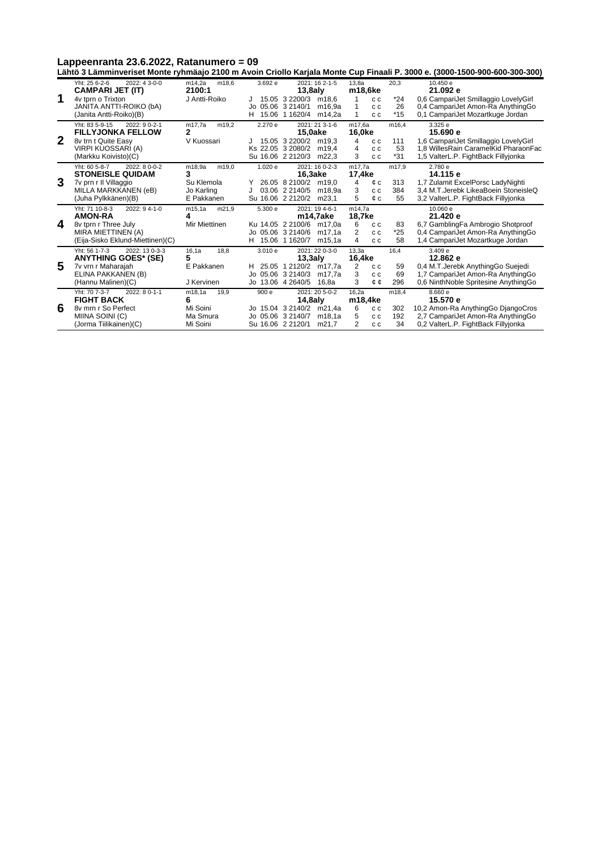**Lähtö 3 Lämminveriset Monte ryhmäajo 2100 m Avoin Criollo Karjala Monte Cup Finaali P. 3000 e. (3000-1500-900-600-300-300)**

|             |                                  |                 |                   |                                        |                       |       | -anto o Lamminonov, monto rymnago 2100 m Avoin Onono Raijaia monto Oap i maan i . 0000 0. (0000 1000 000 000 000) |
|-------------|----------------------------------|-----------------|-------------------|----------------------------------------|-----------------------|-------|-------------------------------------------------------------------------------------------------------------------|
|             | 2022: 4 3-0-0<br>Yht: 25 6-2-6   | m14.2a<br>m18.6 | 3.692 e           | 2021: 16 2-1-5                         | 13.8a                 | 20,3  | 10.450 e                                                                                                          |
|             | <b>CAMPARI JET (IT)</b>          | 2100:1          |                   | $13,8$ aly                             | m18,6ke               |       | 21.092 e                                                                                                          |
| 1           | 4v tprn o Trixton                | J Antti-Roiko   |                   | 15.05 3 2200/3<br>m <sub>18.6</sub>    | c c                   | $*24$ | 0,6 CampariJet Smillaggio LovelyGirl                                                                              |
|             | <b>JANITA ANTTI-ROIKO (bA)</b>   |                 | Jo 05.06 3 2140/1 | m <sub>16.9a</sub>                     | c c                   | 26    | 0,4 CampariJet Amon-Ra AnythingGo                                                                                 |
|             | (Janita Antti-Roiko)(B)          |                 | H.                | 15.06 1 1620/4<br>m14,2a               | 1<br>c c              | $*15$ | 0.1 CampariJet Mozartkuge Jordan                                                                                  |
|             | Yht: 83 5-9-15<br>2022: 9 0-2-1  | m17,7a<br>m19,2 | 2.270 e           | 2021: 21 3-1-6                         | m17,6a                | m16,4 | 3.325 e                                                                                                           |
|             | <b>FILLYJONKA FELLOW</b>         | 2               |                   | 15,0ake                                | 16,0ke                |       | 15.690 e                                                                                                          |
| $\mathbf 2$ | 8v trn t Quite Easy              | V Kuossari      |                   | 15.05 3 2200/2 m19.3                   | 4<br>c c              | 111   | 1,6 CampariJet Smillaggio LovelyGirl                                                                              |
|             | VIRPI KUOSSARI (A)               |                 | Ks 22.05 3 2080/2 | m <sub>19.4</sub>                      | 4<br>c c              | 53    | 1.8 WillesRain CaramelKid PharaonFac                                                                              |
|             | (Markku Koivisto)(C)             |                 |                   | Su 16.06 2 2120/3<br>m22.3             | 3<br>c c              | $*31$ | 1,5 ValterL.P. FightBack Fillyjonka                                                                               |
|             | Yht: 60 5-8-7<br>$2022: 80-0-2$  | m18.9a<br>m19.0 | 1.020 e           | 2021: 16 0-2-3                         | m17.7a                | m17.9 | 2.780 e                                                                                                           |
|             | <b>STONEISLE QUIDAM</b>          | 3               |                   | 16,3ake                                | 17,4ke                |       | 14.115 e                                                                                                          |
| 3           | 7v prn r II Villaggio            | Su Klemola      |                   | 26.05 8 2100/2<br>m <sub>19.0</sub>    | 4<br>¢ c              | 313   | 1,7 Zulamit ExcelPorsc LadyNighti                                                                                 |
|             | MILLA MARKKANEN (eB)             | Jo Karling      |                   | 03.06 2 2140/5<br>m <sub>18.9a</sub>   | 3<br>c c              | 384   | 3.4 M.T. Jerebk LikeaBoein StoneisleQ                                                                             |
|             | (Juha Pylkkänen)(B)              | E Pakkanen      |                   | Su 16.06 2 2120/2<br>m <sub>23.1</sub> | 5<br>¢ c              | 55    | 3,2 ValterL.P. FightBack Fillyjonka                                                                               |
|             | Yht: 71 10-8-3<br>2022: 94-1-0   | m15.1a<br>m21.9 | 5.300 e           | 2021: 19 4-6-1                         | m14.7a                |       | 10.060 e                                                                                                          |
|             | <b>AMON-RA</b>                   | 4               |                   | m14,7ake                               | 18,7ke                |       | 21.420 e                                                                                                          |
| 4           | 8v tprn r Three July             | Mir Miettinen   |                   | Ku 14.05 2 2100/6<br>m17.0a            | 6<br>c c              | 83    | 6,7 GamblingFa Ambrogio Shotproof                                                                                 |
|             | MIRA MIETTINEN (A)               |                 | Jo 05.06 3 2140/6 | m <sub>17.1a</sub>                     | 2<br>c c              | *25   | 0.4 CampariJet Amon-Ra AnythingGo                                                                                 |
|             | (Eija-Sisko Eklund-Miettinen)(C) |                 | H 15.06 1 1620/7  | m15,1a                                 | 4<br>c c              | 58    | 1,4 CampariJet Mozartkuge Jordan                                                                                  |
|             | Yht: 56 1-7-3<br>2022: 13 0-3-3  | 16, 1a<br>18,8  | 3.010 e           | $2021:220-30$                          | 13,3a                 | 16,4  | 3.409 e                                                                                                           |
|             | <b>ANYTHING GOES* (SE)</b>       | 5               |                   | $13,3$ aly                             | 16,4ke                |       | 12.862 e                                                                                                          |
| 5           | 7v vrn r Maharajah               | E Pakkanen      | H.                | 25.05 1 2120/2 m17.7a                  | 2<br>c c              | 59    | 0.4 M.T. Jerebk AnythingGo Suejedi                                                                                |
|             | ELINA PAKKANEN (B)               |                 | Jo 05.06 3 2140/3 | m <sub>17.7a</sub>                     | 3<br>c c              | 69    | 1.7 CampariJet Amon-Ra AnythingGo                                                                                 |
|             | (Hannu Malinen)(C)               | J Kervinen      | Jo 13.06 4 2640/5 | 16,8a                                  | 3<br>¢¢               | 296   | 0,6 NinthNoble Spritesine AnythingGo                                                                              |
|             | Yht: 70 7-3-7<br>2022: 8 0-1-1   | m18,1a<br>19,9  | 900 e             | 2021: 20 5-0-2                         | 16,2a                 | m18,4 | 8.660 e                                                                                                           |
|             | <b>FIGHT BACK</b>                | 6               |                   | $14,8$ aly                             | m18,4ke               |       | 15.570 e                                                                                                          |
| 6           | 8v mrn r So Perfect              | Mi Soini        |                   | Jo 15.04 3 2140/2<br>m21.4a            | 6<br>c c              | 302   | 10,2 Amon-Ra AnythingGo DjangoCros                                                                                |
|             | MIINA SOINI (C)                  | Ma Smura        | Jo 05.06 3 2140/7 | m <sub>18.1a</sub>                     | 5<br>c c              | 192   | 2,7 CampariJet Amon-Ra AnythingGo                                                                                 |
|             | (Jorma Tiilikainen)(C)           | Mi Soini        | Su 16.06 2 2120/1 | m21.7                                  | $\overline{2}$<br>c c | 34    | 0,2 ValterL.P. FightBack Fillyjonka                                                                               |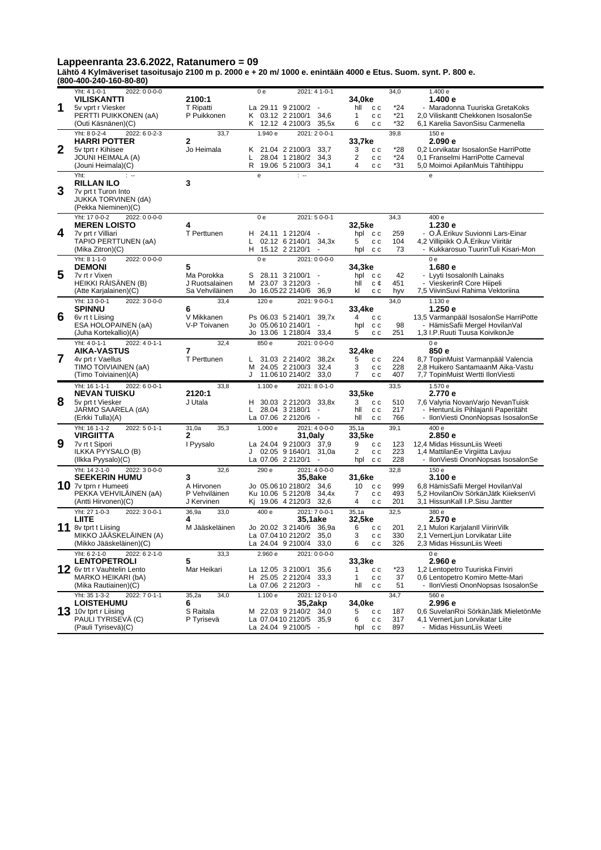**Lähtö 4 Kylmäveriset tasoitusajo 2100 m p. 2000 e + 20 m/ 1000 e. enintään 4000 e Etus. Suom. synt. P. 800 e. (800-400-240-160-80-80)**

|                  | 000- <del>1</del> 00- <del>21</del> 0-100-00-00     |                             |                        |                                                      |                                   |            |                                                                           |
|------------------|-----------------------------------------------------|-----------------------------|------------------------|------------------------------------------------------|-----------------------------------|------------|---------------------------------------------------------------------------|
|                  | 2022: 0 0-0-0<br>Yht: 4 1-0-1                       |                             | 0e                     | 2021: 4 1-0-1                                        |                                   | 34,0       | 1.400 e                                                                   |
|                  | <b>VILISKANTTI</b>                                  | 2100:1                      |                        |                                                      | 34,0ke                            |            | 1.400 e                                                                   |
| 1                | 5v vprt r Viesker                                   | <b>T</b> Ripatti            | La 29.11 9 2100/2      | $\sim$                                               | hll<br>c c                        | *24        | - Maradonna Tuuriska GretaKoks                                            |
|                  | PERTTI PUIKKONEN (aA)                               | P Puikkonen                 | K 03.12 2 2100/1       | 34,6                                                 | 1<br>c c                          | *21        | 2,0 Viliskantt Chekkonen IsosalonSe                                       |
|                  | (Outi Käsnänen)(C)                                  |                             | K 12.12 4 2100/3       | 35,5x                                                | 6<br>c c                          | *32        | 6,1 Karelia SavonSisu Carmenella                                          |
|                  | Yht: 8 0-2-4<br>2022: 6 0-2-3                       | 33,7                        | 1.940 e                | 2021: 20--01                                         |                                   | 39,8       | 150 e                                                                     |
|                  | <b>HARRI POTTER</b>                                 | $\mathbf{2}$                |                        |                                                      | 33,7ke                            |            | 2.090e                                                                    |
| $\boldsymbol{2}$ | 5v tprt r Kihisee<br>JOUNI HEIMALA (A)              | Jo Heimala                  | K 21.04 2 2100/3<br>L. | 33,7<br>28.04 1 2180/2<br>34,3                       | 3<br>c c<br>$\overline{2}$<br>c c | *28<br>*24 | 0,2 Lorvikatar IsosalonSe HarriPotte<br>0.1 Franselmi HarriPotte Carneval |
|                  | (Jouni Heimala)(C)                                  |                             | R 19.06 5 2100/3       | 34,1                                                 | 4<br>c c                          | *31        | 5,0 Moimoi ApilanMuis Tähtihippu                                          |
|                  | Yht:<br>$\pm$ -+                                    |                             |                        | $\mathbb{R}$                                         |                                   |            |                                                                           |
|                  | <b>RILLAN ILO</b>                                   | 3                           | e                      |                                                      |                                   |            | e                                                                         |
| 3                | 7v prt t Turon Into                                 |                             |                        |                                                      |                                   |            |                                                                           |
|                  | <b>JUKKA TORVINEN (dA)</b>                          |                             |                        |                                                      |                                   |            |                                                                           |
|                  | (Pekka Nieminen)(C)                                 |                             |                        |                                                      |                                   |            |                                                                           |
|                  | Yht: 17 0-0-2<br>2022: 0 0-0-0                      |                             | 0e                     | 2021: 5 0-0-1                                        |                                   | 34,3       | 400 e                                                                     |
|                  | <b>MEREN LOISTO</b>                                 | 4                           |                        |                                                      | 32,5ke                            |            | 1.230e                                                                    |
| 4                | 7v prt r Villiari                                   | T Perttunen                 | H 24.11 1 2120/4       |                                                      | hpl cc                            | 259        | - O.A.Erikuv Suvionni Lars-Einar                                          |
|                  | TAPIO PERTTUNEN (aA)                                |                             | L.                     | 02.12 6 2140/1<br>34,3x                              | 5<br>c c                          | 104        | 4,2 Villipiikk O.A.Erikuv Viiritär                                        |
|                  | (Mika Zitron)(C)                                    |                             | H.                     | 15.12 2 2120/1<br>$\overline{\phantom{a}}$           | c c<br>hpl                        | 73         | - Kukkarosuo TuurinTuli Kisari-Mon                                        |
|                  | Yht: 8 1-1-0<br>2022: 0 0-0-0                       |                             | 0e                     | 2021: 0 0-0-0                                        |                                   |            | 0 <sub>e</sub>                                                            |
|                  | <b>DEMONI</b>                                       | 5                           |                        |                                                      | 34,3ke                            |            | 1.680 e                                                                   |
| 5                | 7v rt r Vixen                                       | Ma Porokka                  | S                      | 28.11 3 2100/1<br>$\blacksquare$                     | hpl cc                            | 42         | - Lyyti Isosalonlh Lainaks                                                |
|                  | <b>HEIKKI RAISANEN (B)</b>                          | J Ruotsalainen              | M 23.07 3 2120/3       | $\blacksquare$                                       | hll<br>с¢                         | 451        | - VieskerinR Core Hiipeli                                                 |
|                  | (Atte Karjalainen)(C)                               | Sa Vehviläinen              |                        | Jo 16.0522 2140/6<br>36,9                            | kl<br>c c                         | hyv        | 7,5 ViivinSuvi Rahima Vektoriina                                          |
|                  | Yht: 13 0-0-1<br>2022: 30--00                       | 33,4                        | 120 e                  | 2021: 9 0-0-1                                        |                                   | 34,0       | 1.130 e                                                                   |
|                  | <b>SPINNU</b>                                       | 6                           |                        |                                                      | 33,4ke                            |            | 1.250e                                                                    |
| 6                | 6v rt t Liising<br>ESA HOLOPAINEN (aA)              | V Mikkanen<br>V-P Toivanen  | Ps 06.03 5 2140/1      | 39.7x                                                | 4<br>c c                          |            | 13,5 Varmanpääl IsosalonSe HarriPotte                                     |
|                  | (Juha Kortekallio)(A)                               |                             | Jo 05.0610 2140/1      | $\blacksquare$<br>Jo 13.06 1 2180/4<br>33,4          | c c<br>hpl<br>5<br>c c            | 98<br>251  | - HämisSafii Mergel HovilanVal<br>1,3 I.P.Ruuti Tuusa KoivikonJe          |
|                  |                                                     |                             |                        |                                                      |                                   |            |                                                                           |
|                  | Yht: 4 0-1-1<br>2022: 4 0-1-1<br><b>AIKA-VASTUS</b> | 32,4<br>7                   | 850 e                  | 2021: 0 0-0-0                                        |                                   |            | 0e<br>850 e                                                               |
| $\overline{7}$   | 4v prt r Vaellus                                    | T Perttunen                 | L                      | 31.03 2 2140/2<br>38,2x                              | 32,4ke<br>5<br>c c                | 224        | 8,7 TopinMuist Varmanpääl Valencia                                        |
|                  | TIMO TOIVIAINEN (aA)                                |                             | М                      | 24.05 2 2100/3<br>32,4                               | 3<br>c c                          | 228        | 2,8 Huikero SantamaanM Aika-Vastu                                         |
|                  | (Timo Toiviainen)(A)                                |                             | J                      | 11.06 10 2140/2 33.0                                 | 7<br>c c                          | 407        | 7,7 TopinMuist Wertti IlonViesti                                          |
|                  | Yht: 16 1-1-1<br>2022: 6 0-0-1                      | 33,8                        | 1.100 e                | 2021: 8 0-1-0                                        |                                   | 33,5       | 1.570 e                                                                   |
|                  | <b>NEVAN TUISKU</b>                                 | 2120:1                      |                        |                                                      | 33,5ke                            |            | 2.770 e                                                                   |
| 8                | 5v prt t Viesker                                    | J Utala                     |                        | H 30.03 2 2120/3<br>33,8x                            | 3<br>c c                          | 510        | 7,6 Valyria NovanVarjo NevanTuisk                                         |
|                  | JARMO SAARELA (dA)                                  |                             | L.                     | 28.04 3 2180/1<br>$\sim$                             | hll<br>c c                        | 217        | - HentunLiis Pihlajanli Paperitäht                                        |
|                  | (Erkki Tulla)(A)                                    |                             | La 07.06 2 2120/6      | $\ddot{\phantom{a}}$                                 | hll<br>c c                        | 766        | - IlonViesti OnonNopsas IsosalonSe                                        |
|                  | Yht: 16 1-1-2<br>2022: 5 0-1-1                      | 31,0a<br>35,3               | 1.000 e                | 2021: 4 0-0-0                                        | 35,1a                             | 39,1       | 400 e                                                                     |
|                  | <b>VIRGIITTA</b>                                    | 2                           |                        | 31,0aly                                              | 33,5ke                            |            | 2.850 e                                                                   |
| 9                | 7v rt t Sipori                                      | I Pyysalo                   |                        | La 24.04 9 2100/3 37,9                               | 9<br>c c                          | 123        | 12,4 Midas HissunLiis Weeti                                               |
|                  | ILKKA PYYSALO (B)                                   |                             | J                      | 02.05 9 1640/1<br>31,0a                              | 2<br>c c                          | 223        | 1,4 MattilanEe Virgiitta Lavjuu                                           |
|                  | (Ilkka Pyysalo)(C)                                  |                             | La 07.06 2 2120/1      |                                                      | hpl<br>c c                        | 228        | - IlonViesti OnonNopsas IsosalonSe                                        |
|                  | Yht: 14 2-1-0<br>2022: 30--00                       | 32,6                        | 290 e                  | 2021: 4 0-0-0                                        |                                   | 32,8       | 150 e                                                                     |
|                  | <b>SEEKERIN HUMU</b>                                | 3                           |                        | <b>35,8ake</b>                                       | 31.6ke                            |            | 3.100 e                                                                   |
|                  | 10 7v tprn r Humeeti                                | A Hirvonen<br>P Vehviläinen |                        | Jo 05.0610 2180/2<br>34,6                            | 10<br>c c<br>7                    | 999<br>493 | 6,8 HämisSafii Mergel HovilanVal                                          |
|                  | PEKKA VEHVILAINEN (aA)<br>(Antti Hirvonen)(C)       | J Kervinen                  |                        | Ku 10.06 5 2120/8<br>34,4x<br>Kj 19.06 4 2120/3 32,6 | c c<br>4<br>c c                   | 201        | 5,2 HovilanOiv SörkänJätk KiieksenVi<br>3,1 HissunKall I.P.Sisu Jantter   |
|                  | Yht: 27 1-0-3<br>2022: 3 0-0-1                      | 33,0                        | 400 e                  | 2021: 7 0-0-1                                        |                                   | 32,5       | 380e                                                                      |
|                  | LIITE                                               | 36,9a<br>4                  |                        | 35,1ake                                              | 35,1a<br>32,5ke                   |            | 2.570 e                                                                   |
| 11               | 8v tprt t Liising                                   | M Jääskeläinen              |                        | Jo 20.02 3 2140/6 36.9a                              | 6<br>c c                          | 201        | 2,1 Mulori Karjalanll ViirinVilk                                          |
|                  | MIKKO JÄÄSKELÄINEN (A)                              |                             |                        | La 07.0410 2120/2 35,0                               | 3<br>c c                          | 330        | 2,1 VernerLjun Lorvikatar Liite                                           |
|                  | (Mikko Jääskeläinen)(C)                             |                             |                        | La 24.04 9 2100/4 33,0                               | 6<br>c c                          | 326        | 2,3 Midas HissunLiis Weeti                                                |
|                  | Yht: 6 2-1-0<br>2022: 6 2-1-0                       | 33,3                        | 2.960 e                | 2021: 0 0-0-0                                        |                                   |            | 0e                                                                        |
|                  | <b>LENTOPETROLI</b>                                 | 5                           |                        |                                                      | 33,3ke                            |            | 2.960e                                                                    |
|                  | 12 6v trt r Vauhtelin Lento                         | Mar Heikari                 | La 12.05 3 2100/1      | 35,6                                                 | 1<br>c c                          | *23        | 1,2 Lentopetro Tuuriska Finviri                                           |
|                  | MARKO HEIKARI (bA)                                  |                             | H 25.05 2 2120/4       | 33,3                                                 | c c<br>1                          | 37         | 0.6 Lentopetro Komiro Mette-Mari                                          |
|                  | (Mika Rautiainen)(C)                                |                             | La 07.06 2 2120/3      |                                                      | hll<br>c c                        | 51         | - IlonViesti OnonNopsas IsosalonSe                                        |
|                  | Yht: 35 1-3-2<br>2022: 7 0-1-1                      | 34,0<br>35,2a               | 1.100 e                | 2021: 12 0-1-0                                       |                                   | 34,7       | 560 e                                                                     |
|                  | <b>LOISTEHUMU</b>                                   | 6                           |                        | 35,2akp                                              | 34,0ke                            |            | 2.996 e                                                                   |
|                  | $13$ 10v tprt r Liising                             | S Raitala                   |                        | M 22.03 9 2140/2 34,0                                | 5<br>c c                          | 187        | 0,6 SuvelanRoi SörkänJätk MieletönMe                                      |
|                  | PAULI TYRISEVÄ (C)                                  | P Tyrisevä                  |                        | La 07.0410 2120/5<br>35,9                            | 6<br>c c                          | 317        | 4,1 VernerLjun Lorvikatar Liite<br>- Midas HissunLiis Weeti               |
|                  | (Pauli Tyrisevä)(C)                                 |                             |                        | La 24.04 9 2100/5                                    | hpl<br>c c                        | 897        |                                                                           |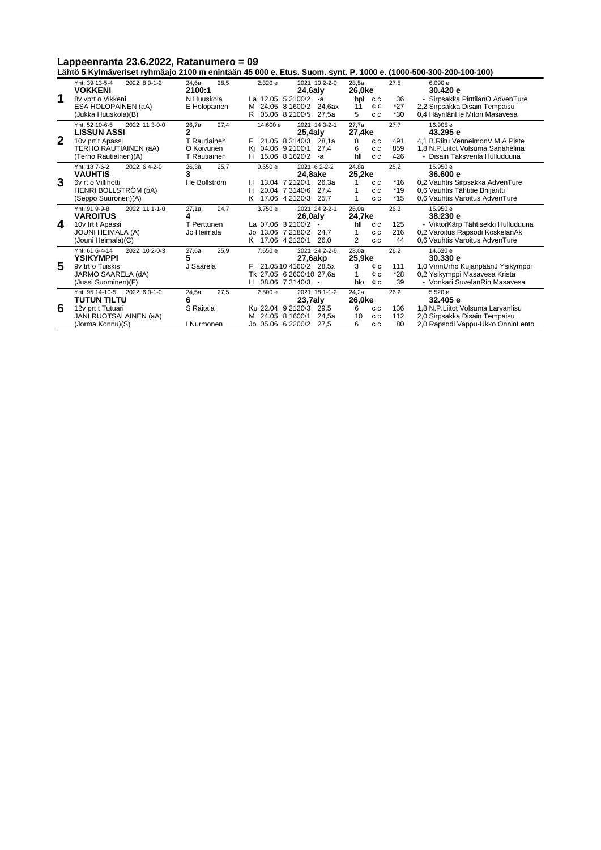Lappeenranta 23.6.2022, Ratanumero = 09<br>Lähtö 5 Kylmäveriset ryhmäajo 2100 m enintään 45 000 e. Etus. Suom. synt. P. 1000 e. (1000-500-300-200-100-100)

|             | 2022: 8 0-1-2<br>Yht: 39 13-5-4  | 24,6a<br>28,5 | 2.320 e<br>2021: 10 2-2-0    | 27,5<br>28,5a     | 6.090e                             |
|-------------|----------------------------------|---------------|------------------------------|-------------------|------------------------------------|
|             | <b>VOKKENI</b>                   | 2100:1        | $24,6$ aly                   | 26,0ke            | 30.420 e                           |
| 1           | 8v vprt o Vikkeni                | N Huuskola    | La 12.05 5 2100/2<br>-а      | 36<br>hpl<br>c c  | - Sirpsakka PirttilänO AdvenTure   |
|             | ESA HOLOPAINEN (aA)              | E Holopainen  | M 24.05 8 1600/2<br>24.6ax   | *27<br>11<br>¢¢   | 2,2 Sirpsakka Disain Tempaisu      |
|             | (Jukka Huuskola)(B)              |               | 05.06 8 2100/5<br>R<br>27,5a | $*30$<br>5<br>c c | 0,4 HäyrilänHe Mitori Masavesa     |
|             | Yht: 52 10-6-5<br>2022: 11 3-0-0 | 26,7a<br>27,4 | 14,600 e<br>2021: 14 3-2-1   | 27,7a<br>27,7     | 16.905 e                           |
|             | <b>LISSUN ASSI</b>               | 2             | $25,4$ aly                   | 27,4ke            | 43.295 e                           |
| $\mathbf 2$ | 10v prt t Apassi                 | T Rautiainen  | 21.05 8 3140/3<br>28.1a      | 8<br>491<br>c c   | 4.1 B.Riitu VennelmonV M.A.Piste   |
|             | TERHO RAUTIAINEN (aA)            | O Koivunen    | 04.06 9 2100/1<br>Κi<br>27.4 | 6<br>859<br>c c   | 1,8 N.P.Liitot Volsuma Sanahelinä  |
|             | (Terho Rautiainen)(A)            | T Rautiainen  | 15.06 8 1620/2<br>H.<br>-a   | 426<br>hll<br>c c | - Disain Taksvenla Hulluduuna      |
|             | Yht: 187-6-2<br>2022: 64--2-0    | 26,3a<br>25.7 | 9.650 e<br>2021: 62--22-2    | 24.8a<br>25,2     | 15.950 e                           |
|             | <b>VAUHTIS</b>                   | 3             | 24,8ake                      | 25,2ke            | 36,600 e                           |
| 3           | 6y rt o Villihotti               | He Bollström  | 13.04 7 2120/1<br>26.3a<br>н | $*16$<br>c c      | 0,2 Vauhtis Sirpsakka AdvenTure    |
|             | HENRI BOLLSTRÖM (bA)             |               | 20.04 7 3140/6<br>27,4<br>н  | $*19$<br>c c      | 0,6 Vauhtis Tähtitie Briljantti    |
|             | (Seppo Suuronen)(A)              |               | 17.06 4 2120/3<br>25,7<br>ĸ  | $*15$<br>1<br>C C | 0.6 Vauhtis Varoitus AdvenTure     |
|             | Yht: 91 9-9-8<br>2022: 11 1-1-0  | 24.7<br>27.1a | 3.750 e<br>2021: 24 2-2-1    | 26.0a<br>26,3     | 15.950 e                           |
|             | <b>VAROITUS</b>                  | 4             | 26,0aly                      | 24,7ke            | 38.230 e                           |
| 4           | 10v trt t Apassi                 | T Perttunen   | La 07.06 3 2100/2            | 125<br>hll<br>c c | - ViktorKärp Tähtisekki Hulluduuna |
|             | <b>JOUNI HEIMALA (A)</b>         | Jo Heimala    | Jo 13.06 7 2180/2<br>24.7    | 216<br>1<br>c c   | 0,2 Varoitus Rapsodi KoskelanAk    |
|             | (Jouni Heimala)(C)               |               | K 17.06 4 2120/1<br>26.0     | 2<br>44<br>c c    | 0.6 Vauhtis Varoitus AdvenTure     |
|             | Yht: 61 6-4-14<br>2022: 10 2-0-3 | 27.6a<br>25.9 | 7.650 e<br>2021: 24 2-2-6    | 28.0a<br>26,2     | 14.620 e                           |
|             | <b>YSIKYMPPI</b>                 | 5             | 27,6akp                      | 25,9ke            | 30.330 e                           |
| 5           | 9y trt o Tuiskis                 | J Saarela     | 21.0510 4160/2 28.5x         | 3<br>111<br>¢с    | 1,0 VirinUrho KujanpäänJ Ysikymppi |
|             | JARMO SAARELA (dA)               |               | Tk 27.05 6 2600/10 27.6a     | $*28$<br>1<br>¢с  | 0,2 Ysikymppi Masavesa Krista      |
|             | (Jussi Suominen)(F)              |               | H 08.06 7 3140/3             | 39<br>hlo<br>¢с   | - Vonkari SuvelanRin Masavesa      |
|             | Yht: 95 14-10-5<br>2022: 6 0-1-0 | 24,5a<br>27,5 | 2.500 e<br>2021: 18 1-1-2    | 24,2a<br>26,2     | 5.520 e                            |
|             | <b>TUTUN TILTU</b>               | 6             | $23.7$ aly                   | 26,0ke            | 32.405 e                           |
| 6           | 12v prt t Tutuari                | S Raitala     | Ku 22.04 9 2120/3<br>29.5    | 6<br>136<br>c c   | 1.8 N.P. Liitot Volsuma Larvanlisu |
|             | JANI RUOTSALAINEN (aA)           |               | M 24.05 8 1600/1<br>24.5a    | 10<br>112<br>c c  | 2,0 Sirpsakka Disain Tempaisu      |
|             | (Jorma Konnu)(S)                 | I Nurmonen    | Jo 05.06 6 2200/2<br>27,5    | 80<br>6<br>c c    | 2,0 Rapsodi Vappu-Ukko OnninLento  |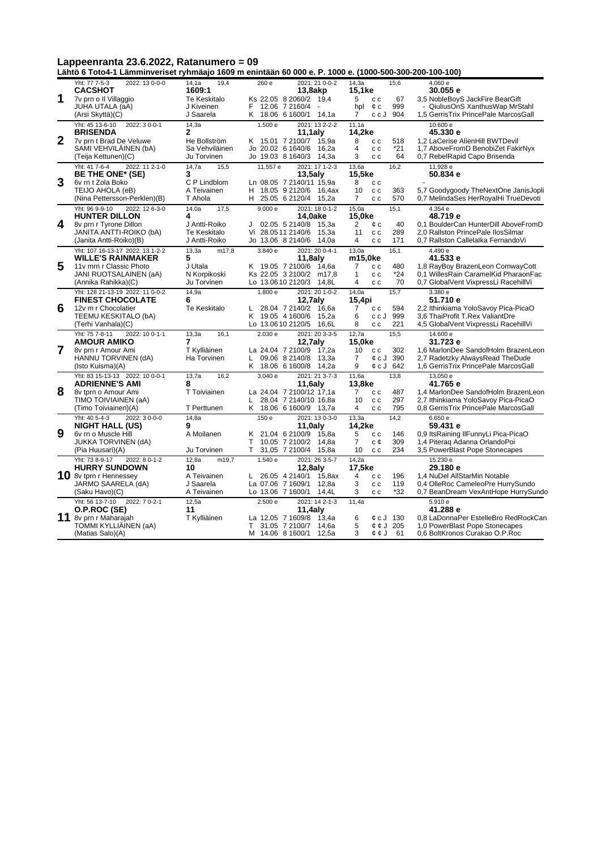|                |                                                                              |                                                | Lähtö 6 Toto4-1 Lämminveriset ryhmäajo 1609 m enintään 60 000 e. P. 1000 e. (1000-500-300-200-100-100) |                                                                                |                                                                                                                    |
|----------------|------------------------------------------------------------------------------|------------------------------------------------|--------------------------------------------------------------------------------------------------------|--------------------------------------------------------------------------------|--------------------------------------------------------------------------------------------------------------------|
| 1              | Yht: 77 7-5-3<br>2022: 13 0-0-0<br><b>CACSHOT</b><br>7v prn o Il Villaggio   | 19,4<br>14,1a<br>1609:1<br>Te Keskitalo        | 2021: 21 0-0-2<br>260 e<br>13,8akp<br>Ks 22.05 8 2060/2 19,4                                           | 14,3a<br>15,6<br>15,1ke<br>5<br>67<br>c c                                      | 4.060 e<br>30.055 e<br>3,5 NobleBoyS JackFire BearGift                                                             |
|                | JUHA UTALA (aA)<br>(Arsi Skyttä)(C)                                          | J Kiveinen<br>J Saarela                        | 12.06 7 2160/4<br>F.<br>K 18.06 6 1600/1 14,1a                                                         | 999<br>hpl<br>¢c<br>ccJ<br>904<br>7                                            | QiuliusOnS XanthusWap MrStahl<br>1,5 GerrisTrix PrincePale MarcosGall                                              |
|                | Yht: 45 13-6-10<br>2022: 3 0-0-1<br><b>BRISENDA</b>                          | 14,3a<br>$\mathbf{2}$                          | 1.500 e<br>2021: 13 2-2-2<br>$11,1$ aly                                                                | 11,1a<br>14,2ke                                                                | 10.600 e<br>45.330 e                                                                                               |
| $\overline{2}$ | 7v prn t Brad De Veluwe<br>SAMI VEHVILÄINEN (bA)<br>(Teija Kettunen)(C)      | He Bollström<br>Sa Vehviläinen<br>Ju Torvinen  | K 15.01 7 2100/7 15.9a<br>Jo 20.02 6 1640/6<br>16,2a<br>Jo 19.03 8 1640/3<br>14,3a                     | 8<br>518<br>c c<br>$*21$<br>$\overline{4}$<br>c c<br>3<br>64<br>c c            | 1,2 LaCerise AlienHill BWTDevil<br>1,7 AboveFromD BenobiZet FakirNyx<br>0,7 RebelRapid Capo Brisenda               |
|                | Yht: 41 7-6-4<br>2022: 11 2-1-0<br>BE THE ONE* (SE)                          | 14,7a<br>15,5<br>3                             | 2021: 17 1-2-3<br>11.557 e<br>$13,5$ aly                                                               | 13,6a<br>16,2<br>15,5ke                                                        | 11.928 e<br>50.834 e                                                                                               |
| 3              | 6v rn t Zola Boko<br>TEIJO AHOLA (eB)<br>(Nina Pettersson-Perklen)(B)        | C P Lindblom<br>A Teivainen<br>T Ahola         | Ln 08.05 7 2140/11 15.9a<br>H 18.05 9 2120/6 16,4ax<br>Н.<br>25.05 6 2120/4<br>15,2a                   | 8<br>c c<br>10<br>363<br>c c<br>$\overline{7}$<br>570<br>c c                   | 5,7 Goodygoody TheNextOne JanisJopli<br>0,7 MelindaSes HerRoyalHi TrueDevoti                                       |
|                | Yht: 96 9-9-10<br>2022: 12 6-3-0<br><b>HUNTER DILLON</b>                     | 14,0a<br>17,5<br>4                             | 2021: 18 0-1-2<br>9.000 e<br>14,0ake                                                                   | 15,0a<br>15,1<br>15,0ke                                                        | 4.354 e<br>48.719 e                                                                                                |
| 4              | 8v prn r Tyrone Dillon<br>JANITA ANTTI-ROIKO (bA)<br>(Janita Antti-Roiko)(B) | J Antti-Roiko<br>Te Keskitalo<br>J Antti-Roiko | 02.05 5 2140/8<br>15,3a<br>J<br>Vi 28.0511 2140/6<br>15.3a<br>Jo 13.06 8 2140/6 14,0a                  | $\overline{2}$<br>40<br>¢c<br>289<br>11<br>c c<br>4<br>171<br>c c              | 0.1 BoulderCan HunterDill AboveFromD<br>2.0 Rallston PrincePale IlosSilmar<br>0,7 Rallston Callelalka FernandoVi   |
|                | Yht: 107 16-13-17 2022: 13 1-2-2<br><b>WILLE'S RAINMAKER</b>                 | 13,3a<br>m17,8<br>5                            | 3.840 e<br>2021: 20 0-4-1<br>$11,8$ aly                                                                | 16,1<br>13,0a<br>m15,0ke                                                       | 4.490 e<br>41.533 e                                                                                                |
| 5              | 11v mrn r Classic Photo<br>JANI RUOTSALAINEN (aA)<br>(Annika Rahikka)(C)     | J Utala<br>N Korpikoski<br>Ju Torvinen         | K 19.05 7 2100/6 14,6a<br>Ks 22.05 3 2100/2 m17,8<br>Lo 13.0610 2120/3 14,8L                           | $\overline{7}$<br>480<br>c c<br>$*24$<br>$\mathbf{1}$<br>c c<br>4<br>c c<br>70 | 1,8 RayBoy BrazenLeon ComwayCott<br>0,1 WillesRain CaramelKid PharaonFac<br>0,7 GlobalVent VixpressLi RacehillVi   |
|                | Yht: 128 21-13-19 2022: 11 0-0-2<br><b>FINEST CHOCOLATE</b>                  | 14,9a<br>6                                     | 2021: 20 1-0-2<br>1.800 e<br>12,7aly                                                                   | 14,0a<br>15,7<br>15,4pi                                                        | 3.380 e<br>51.710 e                                                                                                |
| 6              | 12v m r Chocolatier<br>TEEMU KESKITALO (bA)<br>(Terhi Vanhala)(C)            | Te Keskitalo                                   | 28.04 7 2140/2 16.6a<br>L<br>K 19.05 4 1600/6<br>15,2a<br>Lo 13.0610 2120/5<br>16,6L                   | 7<br>594<br>c c<br>6<br>ccJ 999<br>8<br>221<br>c c                             | 2,2 Ithinkiama YoloSavoy Pica-PicaO<br>3,6 ThaiProfit T.Rex ValiantDre<br>4,5 GlobalVent VixpressLi RacehillVi     |
|                | Yht: 75 7-8-11<br>2022: 10 0-1-1<br><b>AMOUR AMIKO</b>                       | 13,3a<br>16.1<br>7                             | 2021: 20 3-3-5<br>2.030 e<br>$12,7$ aly                                                                | $\overline{12.7a}$<br>15,5<br>15,0ke                                           | 14,600 e<br>31.723 e                                                                                               |
| 7              | 8v prn r Amour Ami<br>HANNU TORVINEN (dA)<br>(Isto Kuisma)(A)                | T Kylliäinen<br>Ha Torvinen                    | La 24.04 7 2100/9 17,2a<br>L 09.06 8 2140/8 13,3a<br>K 18.06 6 1600/8 14,2a                            | 10<br>c c<br>302<br>7<br>$\&cJ$ 390<br>9<br>$\&cJ$ 642                         | 1.6 MarlonDee SandofHolm BrazenLeon<br>2,7 Radetzky AlwaysRead TheDude<br>1,6 GerrisTrix PrincePale MarcosGall     |
|                | Yht: 83 15-13-13 2022: 10 0-0-1<br><b>ADRIENNE'S AMI</b>                     | 13,7a<br>16,2<br>8                             | 3.040 e<br>2021: 21 3-7-3<br>$11,6$ aly                                                                | 11,6a<br>13.8<br>13,8ke                                                        | 13.050 e<br>41.765 e                                                                                               |
| 8              | 8v tprn o Amour Ami<br>TIMO TOIVIAINEN (aA)<br>(Timo Toiviainen)(A)          | T Toiviainen<br>T Perttunen                    | La 24.04 7 2100/12 17,1a<br>28.04 7 2140/10 16,8a<br>L<br>K 18.06 6 1600/9 13,7a                       | $\overline{7}$<br>c c<br>487<br>297<br>10<br>c c<br>795<br>4<br>c c            | 1,4 MarlonDee SandofHolm BrazenLeon<br>2,7 Ithinkiama YoloSavoy Pica-PicaO<br>0.8 GerrisTrix PrincePale MarcosGall |
|                | Yht: 40 5-4-3<br>2022: 3 0-0-0<br><b>NIGHT HALL (US)</b>                     | 14,8a<br>9                                     | 2021: 13 0-3-0<br>150 e<br>11,0aly                                                                     | 13,3a<br>14,2<br>14,2ke                                                        | 6.650 e<br>59.431 e                                                                                                |
| 9              | 6v rn o Muscle Hill<br><b>JUKKA TORVINEN (dA)</b><br>(Pia Huusari)(A)        | A Moilanen<br>Ju Torvinen                      | 21.04 6 2100/9 15,8a<br>Κ<br>т<br>10.05 7 2100/2<br>14,8a<br>T.<br>31.05 7 2100/4<br>15,8a             | 5<br>146<br>c c<br>309<br>7<br>c¢<br>10<br>234<br>c c                          | 0,9 ItsRaining IlFunnyLi Pica-PicaO<br>1,4 Piterag Adanna OrlandoPoi<br>3,5 PowerBlast Pope Stonecapes             |
|                | Yht: 73 8-9-17<br>2022: 80-1-2<br><b>HURRY SUNDOWN</b>                       | 12,8a<br>m19,7<br>10                           | 2021: 26 3-5-7<br>1.540e<br>$12,8$ aly                                                                 | 14,2a<br>17,5ke                                                                | 15.230 e<br>29.180 e                                                                                               |
|                | 10 8v tprn r Hennessey<br>JARMO SAARELA (dA)<br>(Saku Havo)(C)               | A Teivainen<br>J Saarela<br>A Teivainen        | 26.05 4 2140/1<br>15.8ax<br>L.<br>La 07.06 7 1609/1<br>12,8a<br>Lo 13.06 7 1600/1<br>14,4L             | 4<br>196<br>c c<br>3<br>119<br>c c<br>3<br>*32<br>c c                          | 1.4 NuDel AllStarMin Notable<br>0,4 OlleRoc CameleoPre HurrySundo<br>0,7 BeanDream VexAntHope HurrySundo           |
|                | Yht: 56 13-7-10<br>2022: 7 0-2-1<br>O.P.ROC (SE)                             | 12,5a<br>11                                    | 2021: 14 2-1-3<br>2.500 e<br>$11,4$ aly                                                                | 11,4a                                                                          | 5.910 e<br>41.288 e                                                                                                |
| 11             | 8v prn r Maharajah<br>TOMMI KYLLIÄINEN (aA)<br>(Matias Salo)(A)              | T Kylliäinen                                   | La 12.05 7 1609/8 13,4a<br>31.05 7 2100/7 14,6a<br>T<br>14.06 8 1600/1 12,5a<br>м                      | 6<br>$\mathfrak{c}$ c J 130<br>5<br>¢ ¢ J 205<br>3<br>$C$ c J 61               | 0.8 LaDonnaPer EstelleBro RedRockCan<br>1,0 PowerBlast Pope Stonecapes<br>0.6 BoltKronos Curakao O.P.Roc           |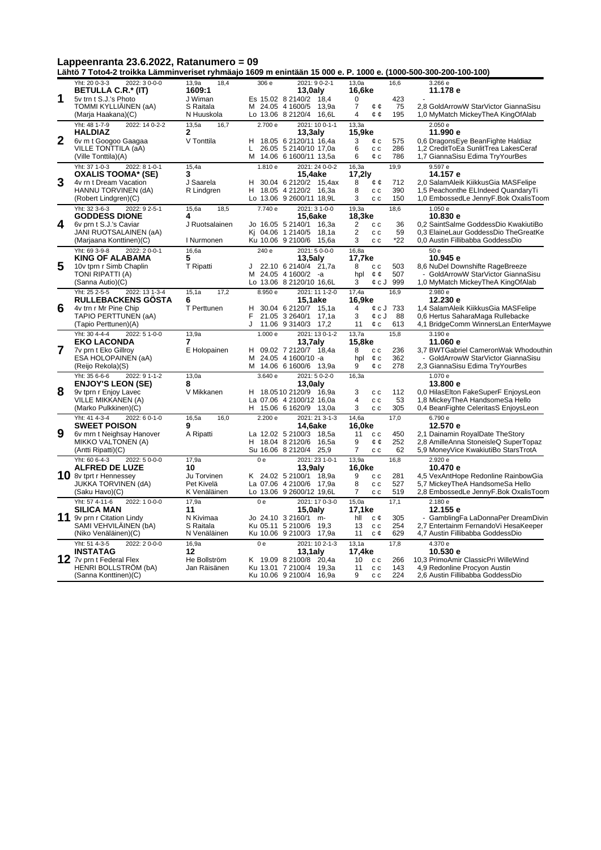|                |                                                                                                                                          |                                                          | Lähtö 7 Toto4-2 troikka Lämminveriset ryhmäajo 1609 m enintään 15 000 e. P. 1000 e. (1000-500-300-200-100-100)                          |                                                                                              |                                                                                                                                          |
|----------------|------------------------------------------------------------------------------------------------------------------------------------------|----------------------------------------------------------|-----------------------------------------------------------------------------------------------------------------------------------------|----------------------------------------------------------------------------------------------|------------------------------------------------------------------------------------------------------------------------------------------|
|                | 2022: 3 0-0-0<br>Yht: 20 0-3-3<br><b>BETULLA C.R.* (IT)</b>                                                                              | 18,4<br>13,9a<br>1609:1                                  | 306 e<br>2021: 90--21<br>$13,0$ aly                                                                                                     | 13,0a<br>16,6<br>16,6ke                                                                      | 3.266 e<br>11.178 e                                                                                                                      |
| 1              | 5v trn t S.J.'s Photo<br>TOMMI KYLLIAINEN (aA)<br>(Marja Haakana)(C)                                                                     | J Wiman<br>S Raitala<br>N Huuskola                       | Es 15.02 8 2140/2 18,4<br>M 24.05 4 1600/5<br>13.9a<br>Lo 13.06 8 2120/4<br>16.6L                                                       | 423<br>0<br>$\overline{7}$<br>75<br>¢φ<br>4<br>¢¢<br>195                                     | 2.8 GoldArrowW StarVictor GiannaSisu<br>1,0 MyMatch MickeyTheA KingOfAlab                                                                |
| $\overline{2}$ | Yht: 48 1-7-9<br>2022: 14 0-2-2<br><b>HALDIAZ</b><br>6v m t Googoo Gaagaa<br>VILLE TONTTILA (aA)<br>(Ville Tonttila)(A)                  | 13,5a<br>16.7<br>$\mathbf{2}$<br>V Tonttila              | 2021: 10 0-1-1<br>2.700 e<br>$13,3$ aly<br>18.05 6 2120/11 16,4a<br>н<br>L<br>26.05 5 2140/10 17,0a<br>м<br>14.06 6 1600/11 13,5a       | 13,3a<br>15,9ke<br>3<br>575<br>¢ c<br>286<br>6<br>$\mathtt{c}\,\mathtt{c}$<br>786<br>6<br>¢c | 2.050e<br>11.990 e<br>0,6 DragonsEye BeanFighte Haldiaz<br>1,2 CreditToEa SunlitTrea LakesCeraf<br>1,7 GiannaSisu Edima TryYourBes       |
| 3              | Yht: 37 1-0-3<br>2022: 8 1-0-1<br><b>OXALIS TOOMA* (SE)</b><br>4v rn t Dream Vacation<br>HANNU TORVINEN (dA)<br>(Robert Lindgren)(C)     | 15,4a<br>3<br>J Saarela<br>R Lindgren                    | 2021: 24 0-0-2<br>1.810 e<br>15,4ake<br>30.04 6 2120/2 15,4ax<br>н<br>H<br>18.05 4 2120/2 16,3a<br>Lo 13.06 9 2600/11 18,9L             | 19,9<br>16,3a<br>17,2ly<br>8<br>¢¢<br>712<br>8<br>390<br>c c<br>3<br>150<br>c c              | 9.597 e<br>14.157 e<br>2,0 SalamAleik KiikkusGia MASFelipe<br>1,5 Peachonthe ELIndeed QuandaryTi<br>1,0 EmbossedLe JennyF.Bok OxalisToom |
| 4              | Yht: 32 3-6-3<br>2022: 9 2-5-1<br><b>GODDESS DIONE</b><br>6v prn t S.J.'s Caviar<br>JANI RUOTSALAINEN (aA)<br>(Marjaana Konttinen)(C)    | 15,6a<br>18,5<br>4<br>J Ruotsalainen<br>I Nurmonen       | 7.740 e<br>2021: 3 1-0-0<br><b>15.6ake</b><br>Jo 16.05 5 2140/1<br>16,3a<br>04.06 1 2140/5<br>18,1a<br>Ki<br>Ku 10.06 9 2100/6<br>15,6a | 19,3a<br>18,6<br>18,3ke<br>2<br>c c<br>36<br>$\overline{2}$<br>59<br>c c<br>3<br>*22<br>c c  | 1.050 e<br>10.830 e<br>0,2 SaintSalme GoddessDio KwakiutiBo<br>0,3 ElaineLaur GoddessDio TheGreatKe<br>0,0 Austin Fillibabba GoddessDio  |
| 5              | Yht: 69 3-9-8<br>2022: 20--01<br><b>KING OF ALABAMA</b><br>10v tprn r Simb Chaplin<br>TONI RIPATTI (A)<br>(Sanna Autio)(C)               | 16,6a<br>5<br>T Ripatti                                  | 2021: 50--00<br>240 e<br>$13,5$ aly<br>22.10 6 2140/4 21,7a<br>J<br>M 24.05 4 1600/2 -a<br>Lo 13.06 8 2120/10 16,6L                     | 16.8a<br>17,7ke<br>503<br>8<br>c c<br>¢¢<br>507<br>hpl<br>¢cJ 999<br>3                       | 50e<br>10.945 e<br>8,6 NuDel Downshifte RageBreeze<br>- GoldArrowW StarVictor GiannaSisu<br>1,0 MyMatch MickeyTheA KingOfAlab            |
| 6              | Yht: 25 2-5-5<br>2022: 13 1-3-4<br><b>RULLEBACKENS GOSTA</b><br>4v trn r Mr Pine Chip<br>TAPIO PERTTUNEN (aA)<br>(Tapio Perttunen)(A)    | 15.1a<br>17.2<br>6<br>T Perttunen                        | 8.950 e<br>2021: 11 1-2-0<br>15,1ake<br>30.04 6 2120/7 15,1a<br>н<br>F<br>21.05 3 2640/1 17.1a<br>J<br>11.06 9 3140/3 17,2              | 17.4a<br>16.9<br>16,9ke<br>4<br>$\&cJ$ 733<br>3<br>88<br>¢cJ<br>613<br>11<br>¢с              | 2.980 e<br>12.230 e<br>1,4 SalamAleik KiikkusGia MASFelipe<br>0,6 Hertus SaharaMaga Rullebacke<br>4,1 BridgeComm WinnersLan EnterMaywe   |
| 7              | Yht: 30 4-4-4<br>$2022: 51-0-0$<br><b>EKO LACONDA</b><br>7v prn t Eko Gillroy<br>ESA HOLOPAINEN (aA)<br>(Reijo Rekola)(S)                | 13,9a<br>7<br>E Holopainen                               | 2021: 13 0-1-2<br>1.000 e<br>$13,7$ aly<br>09.02 7 2120/7 18,4a<br>н<br>24.05 4 1600/10 -a<br>м<br>14.06 6 1600/6 13,9a<br>м            | 15,8<br>13,7a<br>15,8ke<br>8<br>236<br>c c<br>362<br>hpl<br>¢c<br>278<br>9<br>¢c             | 3.190 e<br>11.060 e<br>3.7 BWTGabriel CameronWak Whodouthin<br>GoldArrowW StarVictor GiannaSisu<br>2,3 GiannaSisu Edima TryYourBes       |
| 8              | Yht: 35 6-6-6<br>2022: 9 1-1-2<br><b>ENJOY'S LEON (SE)</b><br>9v tprn r Enjoy Lavec<br><b>VILLE MIKKANEN (A)</b><br>(Marko Pulkkinen)(C) | 13,0a<br>8<br>V Mikkanen                                 | 3.640 e<br>2021: 50--20<br>$13,0$ aly<br>H 18.0510 2120/9 16,9a<br>La 07.06 4 2100/12 16,0a<br>H.<br>15.06 6 1620/9 13,0a               | 16,3a<br>112<br>3<br>c c<br>4<br>53<br>c c<br>3<br>305<br>c c                                | 1.070 e<br>13,800 e<br>0,0 HilasElton FakeSuperF EnjoysLeon<br>1,8 MickeyTheA HandsomeSa Hello<br>0,4 BeanFighte CeleritasS EnjoysLeon   |
| 9              | Yht: 41 4-3-4<br>2022: 6 0-1-0<br><b>SWEET POISON</b><br>6v mrn t Neighsay Hanover<br><b>MIKKO VALTONEN (A)</b><br>(Antti Ripatti)(C)    | 16,5a<br>16,0<br>9<br>A Ripatti                          | 2.200 e<br>2021: 21 3-1-3<br>14.6ake<br>La 12.02 5 2100/3 18,5a<br>H 18.04 8 2120/6<br>16,5a<br>Su 16.06 8 2120/4<br>25,9               | 17,0<br>14,6a<br>16.0ke<br>450<br>11<br>c c<br>9<br>252<br>¢¢<br>$\overline{7}$<br>62<br>c c | 6.790 e<br>12.570 e<br>2,1 Dainamin RoyalDate TheStory<br>2,8 AmilleAnna StoneisleQ SuperTopaz<br>5,9 MoneyVice KwakiutiBo StarsTrotA    |
|                | Yht: 60 6-4-3<br>2022: 5 0-0-0<br><b>ALFRED DE LUZE</b><br>10 8v tprt r Hennessey<br><b>JUKKA TORVINEN (dA)</b><br>(Saku Havo)(C)        | 17,9a<br>10<br>Ju Torvinen<br>Pet Kivelä<br>K Venäläinen | 0e<br>2021: 23 1-0-1<br>$13,9$ aly<br>K 24.02 5 2100/1 18,9a<br>La 07.06 4 2100/6 17,9a<br>Lo 13.06 9 2600/12 19,6L                     | 13,9a<br>16,8<br>16.0ke<br>9<br>281<br>c c<br>8<br>527<br>c c<br>519<br>7<br>c c             | 2.920 e<br>10.470 e<br>4,5 VexAntHope Redonline RainbowGia<br>5,7 MickeyTheA HandsomeSa Hello<br>2,8 EmbossedLe JennyF.Bok OxalisToom    |
| 11             | Yht: 57 4-11-6<br>2022: 10--00<br><b>SILICA MAN</b><br>9v prn r Citation Lindy<br>SAMI VEHVILÄINEN (bA)<br>(Niko Venäläinen)(C)          | 17.9a<br>11<br>N Kivimaa<br>S Raitala<br>N Venäläinen    | 2021: 17 0-3-0<br>0 <sub>e</sub><br>$15,0$ aly<br>Jo 24.10 3 2160/1 m-<br>Ku 05.11 5 2100/6<br>19.3<br>Ku 10.06 9 2100/3 17,9a          | 15.0a<br>17.1<br>17,1ke<br>hll<br>305<br>с¢<br>254<br>13<br>c c<br>11<br>629<br>c¢           | 2.180 e<br>12.155 e<br>- GamblingFa LaDonnaPer DreamDivin<br>2.7 Entertainm FernandoVi HesaKeeper<br>4,7 Austin Fillibabba GoddessDio    |
|                | Yht: 51 4-3-5<br>2022: 20--00<br><b>INSTATAG</b><br>$12$ 7v prn t Federal Flex<br>HENRI BOLLSTRÖM (bA)<br>(Sanna Konttinen)(C)           | 16,9a<br>12<br>He Bollström<br>Jan Räisänen              | 2021: 10 2-1-3<br>0e<br>$13,1$ aly<br>K 19.09 8 2100/8 20.4a<br>Ku 13.01 7 2100/4 19,3a<br>Ku 10.06 9 2100/4 16,9a                      | 13,1a<br>17,8<br>17,4ke<br>10<br>c c<br>266<br>11<br>143<br>c c<br>224<br>9<br>c c           | 4.370 e<br>10.530 e<br>10,3 PrimoAmir ClassicPri WilleWind<br>4,9 Redonline Procyon Austin<br>2,6 Austin Fillibabba GoddessDio           |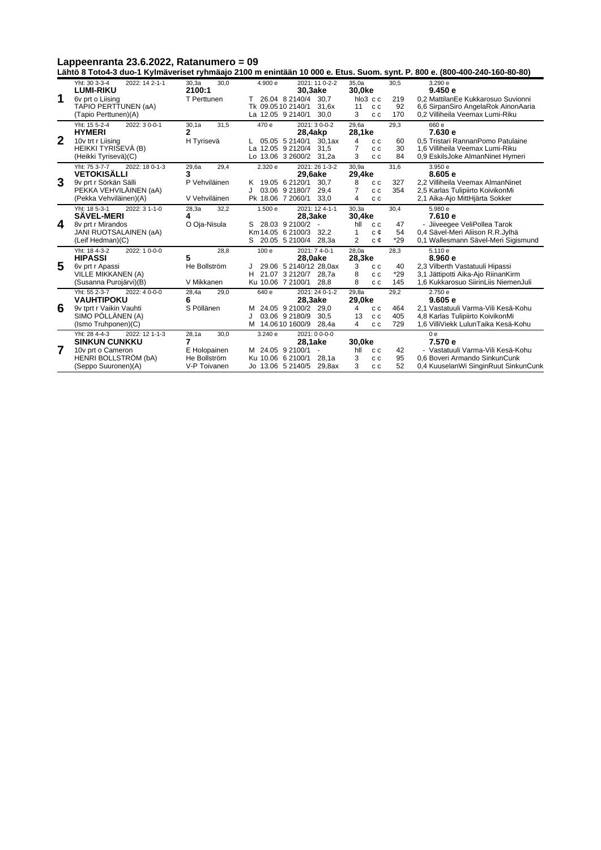**Lähtö 8 Toto4-3 duo-1 Kylmäveriset ryhmäajo 2100 m enintään 10 000 e. Etus. Suom. synt. P. 800 e. (800-400-240-160-80-80)**

|                | Yht: 30 3-3-4<br>2022: 14 2-1-1                         | 30,3a<br>30,0   | 2021: 11 0-2-2<br>4.900 e           | 35.0a<br>30,5                | 3.290 e                              |
|----------------|---------------------------------------------------------|-----------------|-------------------------------------|------------------------------|--------------------------------------|
|                | <b>LUMI-RIKU</b>                                        | 2100:1          | 30,3ake                             | 30,0ke                       | 9.450e                               |
| 1              | 6v prt o Liising                                        | T Perttunen     | 26.04 8 2140/4<br>30.7              | hlo3 c c<br>219              | 0.2 MattilanEe Kukkarosuo Suvionni   |
|                | TAPIO PERTTUNEN (aA)                                    |                 | Tk 09.0510 2140/1<br>31.6x          | 92<br>11<br>c c              | 6,6 SirpanSiro AngelaRok AinonAaria  |
|                | (Tapio Perttunen)(A)                                    |                 | La 12.05 9 2140/1<br>30,0           | 3<br>170<br>c c              | 0,2 Villiheila Veemax Lumi-Riku      |
|                | Yht: 15 5-2-4<br>2022: 30--01                           | 31,5<br>30,1a   | 470 e<br>2021: 30--02               | 29.6a<br>29,3                | 660 e                                |
|                | <b>HYMERI</b>                                           | $\mathbf{2}$    | 28,4akp                             | 28.1ke                       | 7.630 e                              |
| $\overline{2}$ | 10v trt r Liising                                       | H Tyrisevä      | 05.05 5 2140/1<br>30.1ax            | 60<br>4<br>c c               | 0.5 Tristari RannanPomo Patulaine    |
|                | HEIKKI TYRISEVÄ (B)                                     |                 | La 12.05 9 2120/4<br>31.5           | 7<br>30<br>c c               | 1.6 Villiheila Veemax Lumi-Riku      |
|                | (Heikki Tyrisevä)(C)                                    |                 | Lo 13.06 3 2600/2 31,2a             | 3<br>84<br>c c               | 0,9 EskilsJoke AlmanNinet Hymeri     |
|                | Yht: 75 3-7-7<br>2022: 18 0-1-3                         | 29,6a<br>29,4   | 2.320 e<br>2021: 26 1-3-2           | 30.9a<br>31,6                | 3.950e                               |
|                | <b>VETOKISÄLLI</b>                                      | 3               | 29,6ake                             | 29,4ke                       | 8.605 e                              |
| 3              | 9v prt r Sörkän Sälli                                   | P Vehviläinen   | K 19.05 6 2120/1<br>30.7            | 8<br>327<br>c c              | 2.2 Villiheila Veemax AlmanNinet     |
|                | PEKKA VEHVILÄINEN (aA)                                  |                 | 03.06 9 2180/7<br>29.4              | 7<br>354<br>c c              | 2,5 Karlas Tulipiirto KoivikonMi     |
|                | (Pekka Vehviläinen)(A)                                  | V Vehviläinen   | Pk 18.06 7 2060/1<br>33.0           | 4<br>c c                     | 2,1 Aika-Ajo MittHjärta Sokker       |
|                | Yht: 18 5-3-1<br>2022: 3 1-1-0                          | 28,3a<br>32,2   | 1.500 e<br>2021: 12 4-1-1           | 30.3a<br>30,4                | 5.980 e                              |
|                | <b>SÄVEL-MERI</b>                                       | 4               | 28,3ake                             | 30.4ke                       | 7.610 e                              |
| 4              | 8v prt r Mirandos                                       | O Oja-Nisula    | 28.03 9 2100/2                      | hll<br>47<br>c c             | - Jiiveegee VeliPollea Tarok         |
|                | JANI RUOTSALAINEN (aA)                                  |                 | Km 14.05 6 2100/3<br>32.2           | 54<br>c¢                     | 0.4 Sävel-Meri Aliison R.R.Jylhä     |
|                | (Leif Hedman)(C)                                        |                 | 20.05 5 2100/4<br>28,3a<br>s        | 2<br>$*29$<br>c¢             | 0,1 Wallesmann Sävel-Meri Sigismund  |
|                | Yht: 18 4-3-2<br>2022: 10--00                           | 28,8            | 100 e<br>2021: 74--0-1              | 28,0a<br>28,3                | 5.110 e                              |
|                | <b>HIPASSI</b>                                          | 5               | 28,0ake                             | 28,3ke                       | 8.960 e                              |
| 5              | 6v prt r Apassi                                         | He Bollström    | 29.06 5 2140/12 28,0ax              | 3<br>40<br>c c               | 2.3 Vilberth Vastatuuli Hipassi      |
|                | <b>VILLE MIKKANEN (A)</b>                               |                 | 21.07 3 2120/7<br>H<br>28.7a        | $*29$<br>8<br>c c            | 3,1 Jättipotti Aika-Ajo RiinanKirm   |
|                | (Susanna Purojärvi)(B)                                  | V Mikkanen      | Ku 10.06 7 2100/1<br>28,8           | 8<br>145<br>C <sub>C</sub>   | 1,6 Kukkarosuo SiirinLiis NiemenJuli |
|                | Yht: 55 2-3-7<br>2022: 4 0-0-0<br><b>VAUHTIPOKU</b>     | 28,4a<br>29,0   | 2021: 24 0-1-2<br>640 e             | 29.8a<br>29,2<br>29,0ke      | 2.750 e<br>9.605e                    |
| 6              |                                                         | 6<br>S Pöllänen | 28,3ake<br>24.05 9 2100/2<br>29.0   | 464                          | 2.1 Vastatuuli Varma-Vili Kesä-Kohu  |
|                | 9v tprt r Vaikin Vauhti<br>SIMO PÖLLÄNEN (A)            |                 | 03.06 9 2180/9<br>30,5              | 4<br>c c<br>13<br>405<br>c c | 4,8 Karlas Tulipiirto KoivikonMi     |
|                | (Ismo Truhponen)(C)                                     |                 | M 14.0610 1600/9<br>28,4a           | 729<br>4<br>c c              | 1.6 VilliViekk LulunTaika Kesä-Kohu  |
|                |                                                         |                 |                                     |                              |                                      |
|                | Yht: 28 4-4-3<br>2022: 12 1-1-3<br><b>SINKUN CUNKKU</b> | 28,1a<br>30,0   | 3.240 e<br>2021: 0 0-0-0<br>28,1ake | 30,0ke                       | 0e<br>7.570 e                        |
| $\overline{7}$ | 10v prt o Cameron                                       | E Holopainen    | M 24.05 9 2100/1<br>$\sim$          | hll<br>42<br>c c             | - Vastatuuli Varma-Vili Kesä-Kohu    |
|                | HENRI BOLLSTRÖM (bA)                                    | He Bollström    | Ku 10.06 6 2100/1<br>28.1a          | 3<br>95<br>c c               | 0.6 Boveri Armando SinkunCunk        |
|                | (Seppo Suuronen)(A)                                     | V-P Toivanen    | Jo 13.06 5 2140/5<br>29.8ax         | 3<br>52<br>c c               | 0.4 KuuselanWi SinginRuut SinkunCunk |
|                |                                                         |                 |                                     |                              |                                      |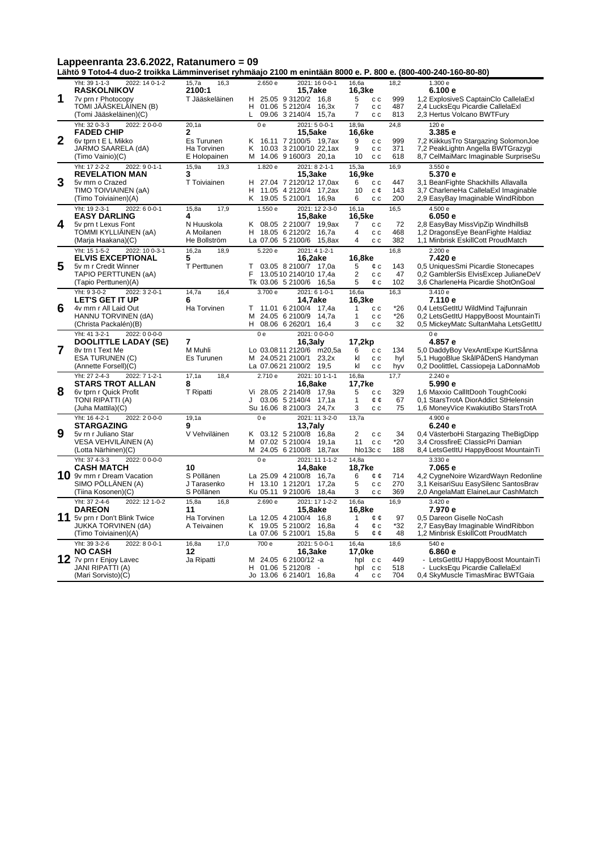**Lähtö 9 Toto4-4 duo-2 troikka Lämminveriset ryhmäajo 2100 m enintään 8000 e. P. 800 e. (800-400-240-160-80-80)**

|                | 2022: 14 0-1-2<br>Yht: 39 1-1-3                             | 15,7a<br>16,3               | 2.650 e        | 2021: 16 0-0-1                                      | 16,6a                                  | 18,2       | 1.300 e                                                                     |
|----------------|-------------------------------------------------------------|-----------------------------|----------------|-----------------------------------------------------|----------------------------------------|------------|-----------------------------------------------------------------------------|
| 1              | <b>RASKOLNIKOV</b>                                          | 2100:1                      |                | 15,7ake<br>H 25.05 9 3120/2 16,8                    | 16,3ke<br>5                            |            | 6.100 e                                                                     |
|                | 7v prn r Photocopy<br>TOMI JÄÄSKELÄINEN (B)                 | T Jääskeläinen              | H              | 01.06 5 2120/4 16,3x                                | c c<br>$\overline{7}$<br>c c           | 999<br>487 | 1,2 ExplosiveS CaptainClo CallelaExl<br>2,4 LucksEqu Picardie CallelaExl    |
|                | (Tomi Jääskeläinen)(C)                                      |                             | L              | 09.06 3 2140/4 15,7a                                | 7<br>c c                               | 813        | 2,3 Hertus Volcano BWTFury                                                  |
|                | Yht: 32 0-3-3<br>2022: 20--00                               | 20,1a                       | 0 <sub>e</sub> | 2021: 50--01                                        | 18,9a                                  | 24,8       | 120 e                                                                       |
|                | <b>FADED CHIP</b>                                           | 2                           |                | <b>15.5ake</b>                                      | 16.6ke                                 |            | 3.385 e                                                                     |
| $\overline{2}$ | 6v tprn t E L Mikko                                         | Es Turunen                  | Κ              | 16.11 7 2100/5 19,7ax                               | 9<br>c c                               | 999        | 7,2 KiikkusTro Stargazing SolomonJoe                                        |
|                | JARMO SAARELA (dA)<br>(Timo Vainio)(C)                      | Ha Torvinen<br>E Holopainen | K              | 10.03 3 2100/10 22,1ax<br>M 14.06 9 1600/3 20,1a    | 9<br>c c<br>10                         | 371<br>618 | 7,2 PeakLightn Angella BWTGrazygi<br>8.7 CelMaiMarc Imaginable SurpriseSu   |
|                | Yht: 17 2-2-2<br>2022: 9 0-1-1                              | 15,9a                       | 1.820e         | $2021:82-1-1$                                       | c c<br>15,3a                           | 16,9       | 3.550e                                                                      |
|                | <b>REVELATION MAN</b>                                       | 19,3<br>3                   |                | 15,3ake                                             | 16,9ke                                 |            | 5.370 e                                                                     |
| 3              | 5v mrn o Crazed                                             | T Toiviainen                |                | H 27.04 7 2120/12 17,0ax                            | 6<br>c c                               | 447        | 3,1 BeanFighte Shackhills Allavalla                                         |
|                | TIMO TOIVIAINEN (aA)                                        |                             | н              | 11.05 4 2120/4 17,2ax                               | 10<br>с¢                               | 143        | 3,7 CharleneHa CallelaExI Imaginable                                        |
|                | (Timo Toiviainen)(A)                                        |                             |                | K 19.05 5 2100/1 16,9a                              | 6<br>c c                               | 200        | 2,9 EasyBay Imaginable WindRibbon                                           |
|                | Yht: 19 2-3-1<br>2022: 6 0-0-1                              | 15,8a<br>17,9               | 1.550 e        | 2021: 12 2-3-0                                      | 16, 1a                                 | 16,5       | 4.500 e                                                                     |
| 4              | <b>EASY DARLING</b><br>5v prn t Lexus Font                  | 4<br>N Huuskola             |                | 15,8ake<br>K 08.05 2 2100/7 19,9ax                  | 16,5ke<br>7<br>c c                     | 72         | 6.050 e                                                                     |
|                | TOMMI KYLLIÄINEN (aA)                                       | A Moilanen                  | H              | 18.05 6 2120/2 16.7a                                | 4<br>c c                               | 468        | 2,8 EasyBay MissVipZip WindhillsB<br>1,2 DragonsEye BeanFighte Haldiaz      |
|                | (Marja Haakana)(C)                                          | He Bollström                |                | La 07.06 5 2100/6 15,8ax                            | 4<br>c c                               | 382        | 1,1 Minbrisk EskillCott ProudMatch                                          |
|                | Yht: 15 1-5-2<br>2022: 10 0-3-1                             | 16,2a<br>18,9               | 5.220 e        | 2021: 4 1-2-1                                       |                                        | 16,8       | 2.200 e                                                                     |
|                | <b>ELVIS EXCEPTIONAL</b>                                    | 5                           |                | 16,2ake                                             | 16,8ke                                 |            | 7.420 e                                                                     |
| 5              | 5v m r Credit Winner                                        | T Perttunen                 | т              | 03.05 8 2100/7 17,0a                                | 5<br>¢c                                | 143        | 0,5 UniquesSmi Picardie Stonecapes                                          |
|                | TAPIO PERTTUNEN (aA)                                        |                             | F              | 13.0510 2140/10 17.4a                               | $\overline{2}$<br>c c<br>5<br>¢с       | 47<br>102  | 0.2 GamblerSis ElvisExcep JulianeDeV                                        |
|                | (Tapio Perttunen)(A)<br>Yht: 9 3-0-2<br>2022: 3 2-0-1       | 14,7a<br>16,4               | 3.700 e        | Tk 03.06 5 2100/6 16,5a<br>2021: 6 1-0-1            | 16.6a                                  | 16,3       | 3,6 CharleneHa Picardie ShotOnGoal<br>3.410 e                               |
|                | <b>LET'S GET IT UP</b>                                      | 6                           |                | 14,7ake                                             | 16,3ke                                 |            | 7.110 e                                                                     |
| 6              | 4v mrn r All Laid Out                                       | Ha Torvinen                 | т              | 11.01 6 2100/4 17,4a                                | $\mathbf{1}$<br>$\mathtt{c}\mathtt{c}$ | $*26$      | 0.4 LetsGetItU WildMind Tajfunrain                                          |
|                | HANNU TORVINEN (dA)                                         |                             | м              | 24.05 6 2100/9 14,7a                                | 1<br>c c                               | $*26$      | 0,2 LetsGetItU HappyBoost MountainTi                                        |
|                | (Christa Packalén)(B)                                       |                             |                | H 08.06 6 2620/1 16,4                               | 3<br>c c                               | 32         | 0,5 MickeyMatc SultanMaha LetsGetItU                                        |
|                |                                                             |                             |                |                                                     |                                        |            |                                                                             |
|                | Yht: 41 3-2-1<br>2022: 0 0-0-0                              |                             | 0e             | 2021: 0 0-0-0                                       |                                        |            | 0e                                                                          |
|                | DOOLITTLE LADAY (SE)                                        | 7                           |                | $16,3$ aly                                          | 17,2kp                                 |            | 4.857 e                                                                     |
| 7              | 8v trn t Text Me<br>ESA TURUNEN (C)                         | M Muhli<br>Es Turunen       |                | Lo 03.0811 2120/6 m20,5a<br>M 24.0521 2100/1 23,2x  | 6<br>c c<br>kl<br>c c                  | 134<br>hyl | 5,0 DaddyBoy VexAntExpe KurtSånna<br>5.1 HugoBlue SkålPåDenS Handyman       |
|                | (Annette Forsell)(C)                                        |                             |                | La 07.0621 2100/2 19,5                              | kl<br>c c                              | hyv        | 0,2 DoolittleL Cassiopeja LaDonnaMob                                        |
|                | Yht: 27 2-4-3<br>2022: 7 1-2-1                              | 17,1a<br>18,4               | 2.710 e        | 2021: 10 1-1-1                                      | 16,8a                                  | 17,7       | 2.240 e                                                                     |
|                | <b>STARS TROT ALLAN</b>                                     | 8                           |                | 16,8ake                                             | 17,7ke                                 |            | 5.990 e                                                                     |
| 8              | 6v tprn r Quick Profit                                      | T Ripatti                   |                | Vi 28.05 2 2140/8 17,9a                             | 5<br>c c                               | 329        | 1,6 Maxxio CallItDooh ToughCooki                                            |
|                | TONI RIPATTI (A)<br>(Juha Mattila)(C)                       |                             | J              | 03.06 5 2140/4<br>17,1a<br>Su 16.06 8 2100/3 24,7x  | $\mathbf{1}$<br>¢¢<br>3<br>c c         | 67<br>75   | 0.1 StarsTrotA DiorAddict StHelensin<br>1,6 MoneyVice KwakiutiBo StarsTrotA |
|                | Yht: 16 4-2-1<br>2022: 20-0-0                               | 19,1a                       | 0e             | 2021: 11 3-2-0                                      | 13,7a                                  |            | 4.900 e                                                                     |
|                | <b>STARGAZING</b>                                           | 9                           |                | $13,7$ aly                                          |                                        |            | 6.240 e                                                                     |
| 9              | 5v rn r Juliano Star                                        | V Vehviläinen               |                | K 03.12 5 2100/8 16.8a                              | $\overline{2}$<br>c c                  | 34         | 0,4 VästerboHi Stargazing TheBigDipp                                        |
|                | VESA VEHVILAINEN (A)                                        |                             | м              | 07.02 5 2100/4 19,1a                                | 11<br>c c                              | *20        | 3,4 CrossfireE ClassicPri Damian                                            |
|                | (Lotta Närhinen)(C)                                         |                             | м              | 24.05 6 2100/8 18,7ax                               | hlo13c c                               | 188        | 8,4 LetsGetItU HappyBoost MountainTi                                        |
|                | 2022: 0 0-0-0<br>Yht: 37 4-3-3<br><b>CASH MATCH</b>         | 10                          | 0 <sub>e</sub> | 2021: 11 1-1-2<br>14,8ake                           | 14.8a<br>18,7ke                        |            | 3.330 e<br>7.065 e                                                          |
|                | 10 9v mrn r Dream Vacation                                  | S Pöllänen                  |                | La 25.09 4 2100/8 16,7a                             | 6<br>¢¢                                | 714        | 4,2 CygneNoire WizardWayn Redonline                                         |
|                | SIMO POLLANEN (A)                                           | J Tarasenko                 |                | H 13.10 1 2120/1<br>17,2a                           | 5<br>c c                               | 270        | 3,1 KeisariSuu EasySilenc SantosBrav                                        |
|                | (Tiina Kosonen)(C)                                          | S Pöllänen                  |                | Ku 05.11 9 2100/6<br>18.4a                          | 3<br>c c                               | 369        | 2,0 AngelaMatt ElaineLaur CashMatch                                         |
|                | Yht: 37 2-4-6<br>2022: 12 1-0-2                             | 15,8a<br>16,8               | 2.690 e        | 2021: 17 1-2-2                                      | 16,6a                                  | 16,9       | 3.420 e                                                                     |
|                | <b>DAREON</b>                                               | 11                          |                | 15,8ake                                             | 16,8ke                                 |            | 7.970 e                                                                     |
|                | 11 5v prn r Don't Blink Twice<br><b>JUKKA TORVINEN (dA)</b> | Ha Torvinen<br>A Teivainen  |                | La 12.05 4 2100/4 16,8<br>K 19.05 5 2100/2<br>16,8a | $\mathbf{1}$<br>¢¢<br>4<br>¢с          | 97<br>*32  | 0,5 Dareon Giselle NoCash<br>2,7 EasyBay Imaginable WindRibbon              |
|                | (Timo Toiviainen)(A)                                        |                             |                | La 07.06 5 2100/1<br>15,8a                          | 5<br>¢¢                                | 48         | 1,2 Minbrisk EskillCott ProudMatch                                          |
|                | Yht: 39 3-2-6<br>2022: 8 0-0-1                              | 16,8a<br>17,0               | 700 e          | 2021: 50--01                                        | 16,4a                                  | 18,6       | 540 e                                                                       |
|                | <b>NO CASH</b>                                              | 12                          |                | 16,3ake                                             | 17,0ke                                 |            | 6.860 e                                                                     |
|                | 12 7v prn r Enjoy Lavec<br><b>JANI RIPATTI (A)</b>          | Ja Ripatti                  |                | M 24.05 6 2100/12 -a<br>H 01.06 5 2120/8 -          | hpl<br>c c<br>hpl<br>c c               | 449<br>518 | - LetsGetItU HappyBoost MountainTi<br>- LucksEqu Picardie CallelaExl        |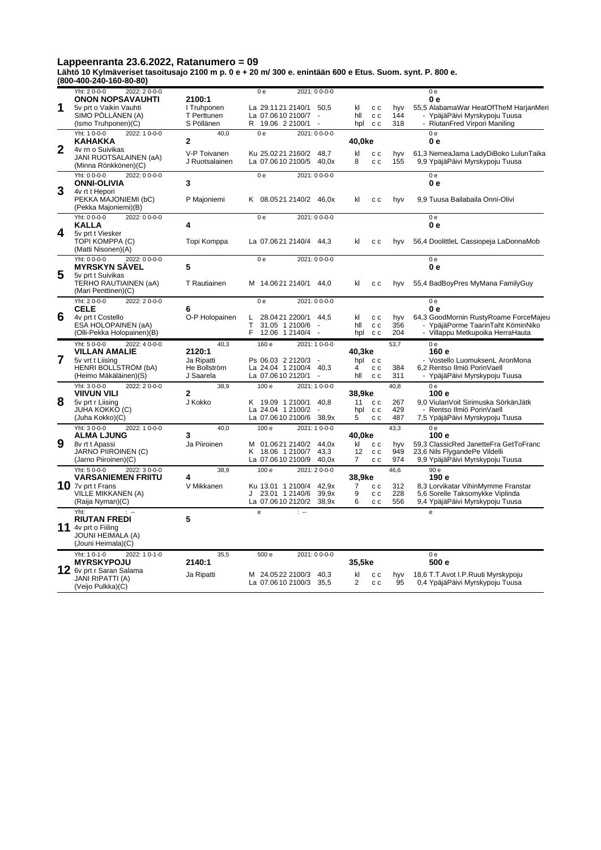**Lähtö 10 Kylmäveriset tasoitusajo 2100 m p. 0 e + 20 m/ 300 e. enintään 600 e Etus. Suom. synt. P. 800 e. (800-400-240-160-80-80)**

|                | Yht: 20--00<br>2022: 20--00<br><b>ONON NOPSAVAUHTI</b>                                               | 2100:1                         | 0 <sub>e</sub><br>2021: 0 0-0-0                         |                                                           | 0 <sub>e</sub><br>0 e                                                                                    |
|----------------|------------------------------------------------------------------------------------------------------|--------------------------------|---------------------------------------------------------|-----------------------------------------------------------|----------------------------------------------------------------------------------------------------------|
| 1              | 5v prt o Vaikin Vauhti<br>SIMO PÖLLÄNEN (A)                                                          | I Truhponen<br>T Perttunen     | La 29.1121 2140/1 50,5<br>La 07.0610 2100/7             | kl<br>c c<br>hyv<br>hll<br>c c<br>144                     | 55,5 AlabamaWar HeatOfTheM HarjanMeri<br>- YpäjäPäivi Myrskypoju Tuusa                                   |
|                | (Ismo Truhponen)(C)                                                                                  | S Pöllänen                     | R.<br>19.06 2 2100/1<br>$\sim$                          | 318<br>hpl<br>c c                                         | - RiutanFred Virpori Maniling                                                                            |
|                | Yht: 1 0-0-0<br>2022: 1 0-0-0<br><b>KAHAKKA</b>                                                      | 40,0<br>2                      | 2021: 0 0-0-0<br>0 <sub>e</sub>                         | 40,0ke                                                    | 0e<br>0е                                                                                                 |
| $\overline{2}$ | 4v rn o Suivikas<br>JANI RUOTSALAINEN (aA)<br>(Minna Rönkkönen)(C)                                   | V-P Toivanen<br>J Ruotsalainen | Ku 25.0221 2160/2 48,7<br>La 07.0610 2100/5 40,0x       | kl<br>c c<br>hyv<br>155<br>8<br>c c                       | 61,3 NemeaJama LadyDiBoko LulunTaika<br>9,9 YpäjäPäivi Myrskypoju Tuusa                                  |
| 3              | Yht: 0 0-0-0<br>2022: 0 0-0-0<br><b>ONNI-OLIVIA</b>                                                  | 3                              | 2021: 0 0-0-0<br>0 <sub>e</sub>                         |                                                           | 0 <sub>e</sub><br>0 e                                                                                    |
|                | 4v rt t Hepori<br>PEKKA MAJONIEMI (bC)<br>(Pekka Majoniemi)(B)                                       | P Majoniemi                    | K 08.0521 2140/2 46,0x                                  | kl<br>c c<br>hyv                                          | 9,9 Tuusa Bailabaila Onni-Olivi                                                                          |
| 4              | Yht: 0 0-0-0<br>2022: 0 0-0-0<br><b>KALLA</b><br>5v prt t Viesker                                    | 4                              | 0 <sub>e</sub><br>2021: 0 0-0-0                         |                                                           | 0e<br>0е                                                                                                 |
|                | TOPI KOMPPA (C)<br>(Matti Nisonen)(A)                                                                | Topi Komppa                    | La 07.0621 2140/4 44,3                                  | kl<br>c c<br>hyv                                          | 56,4 DoolittleL Cassiopeja LaDonnaMob                                                                    |
| 5              | Yht: $0.0 - 0 - 0$<br>2022: 0 0-0-0<br><b>MYRSKYN SAVEL</b><br>5v prt t Suivikas                     | 5                              | 2021: 0 0-0-0<br>0 <sub>e</sub>                         |                                                           | 0 <sub>e</sub><br>0 e                                                                                    |
|                | TERHO RAUTIAINEN (aA)<br>(Mari Penttinen)(C)                                                         | T Rautiainen                   | M 14.0621 2140/1 44,0                                   | kl<br>c c<br>hyv                                          | 55,4 BadBoyPres MyMana FamilyGuy                                                                         |
|                | Yht: 20--00<br>2022: 20--00<br><b>CELE</b>                                                           | 6                              | 2021: 0 0-0-0<br>0 <sub>e</sub>                         |                                                           | 0e<br>0е                                                                                                 |
| 6              | 4v prt t Costello                                                                                    | O-P Holopainen                 | Г<br>28.0421 2200/1 44,5                                | kl<br>c c<br>hyv                                          | 64,3 GoodMornin RustyRoame ForceMajeu                                                                    |
|                | ESA HOLOPAINEN (aA)<br>(Olli-Pekka Holopainen)(B)                                                    |                                | T.<br>31.05 1 2100/6<br>F.<br>12.06 1 2140/4            | 356<br>hll<br>c c<br>204<br>hpl<br>c c                    | YpäjäPorme TaarinTaht KöminNiko<br>- Villappu Metkupoika HerraHauta                                      |
|                | Yht: 50--00<br>2022: 4 0-0-0                                                                         | 40,3                           | 160 e<br>2021: 1 0-0-0                                  | 53,7                                                      | 0e                                                                                                       |
|                |                                                                                                      |                                |                                                         |                                                           | 160 e                                                                                                    |
| 7              | <b>VILLAN AMALIE</b><br>5v vrt t Liising                                                             | 2120:1<br>Ja Ripatti           | Ps 06.03 2 2120/3<br>$\sim$                             | 40,3ke<br>hpl cc                                          | - Vostello LuomuksenL AronMona                                                                           |
|                | HENRI BOLLSTRÖM (bA)<br>(Heimo Mäkäläinen)(S)                                                        | He Bollström<br>J Saarela      | La 24.04 1 2100/4 40,3<br>La 07.0610 2120/1<br>$\sim$   | 4<br>c c<br>384<br>hll<br>c c<br>311                      | 6,2 Rentso Ilmiö PorinVaell<br>- YpäjäPäivi Myrskypoju Tuusa                                             |
|                | Yht: 30--00<br>2022: 20--00<br><b>VIIVUN VILI</b>                                                    | 38,9<br>2                      | 100 e<br>2021: 1 0-0-0                                  | 40.8<br>38,9ke                                            | 0 <sub>e</sub><br>100 e                                                                                  |
| 8              | 5v prt r Liising                                                                                     | J Kokko                        | K 19.09 1 2100/1<br>40.8                                | 11<br>267<br>c c                                          | 9.0 ViulanVoit Sirimuska SörkänJätk                                                                      |
|                | <b>JUHA KOKKO (C)</b><br>(Juha Kokko)(C)                                                             |                                | La 24.04 1 2100/2<br>La 07.0610 2100/6 38,9x            | 429<br>hpl<br>c c<br>5<br>c c<br>487                      | - Rentso Ilmiö PorinVaell<br>7,5 YpäjäPäivi Myrskypoju Tuusa                                             |
|                | Yht: 30--00<br>2022: 1 0-0-0                                                                         | 40,0<br>3                      | 100 e<br>2021: 10--00-0                                 | 43,3                                                      | 0e                                                                                                       |
| 9              | <b>ALMA LJUNG</b><br>8v rt t Apassi                                                                  | Ja Piiroinen                   | M 01.0621 2140/2 44,0x                                  | 40.0ke<br>kl<br>c c<br>hyv                                | 100 e<br>59,3 ClassicRed JanetteFra GetToFranc                                                           |
|                | JARNO PIIROINEN (C)<br>(Jarno Piiroinen)(C)                                                          |                                | K 18.06 1 2100/7<br>43,3<br>La 07.0610 2100/9<br>40,0x  | 12<br>c c<br>949<br>974<br>7<br>c c                       | 23,6 Nils FlygandePe Vildelli<br>9,9 YpäjäPäivi Myrskypoju Tuusa                                         |
|                | Yht: 50--00<br>2022: 3 0-0-0                                                                         | 38.9                           | 100 e<br>2021: 20--00                                   | 46.6                                                      | 90 e                                                                                                     |
|                | <b>VARSANIEMEN FRIITU</b><br>10 $\sqrt{7}$ prt t Frans                                               | 4<br>V Mikkanen                | Ku 13.01 1 2100/4 42,9x                                 | 38,9ke<br>$\overline{7}$<br>$\mathtt{c}\mathtt{c}$<br>312 | 190 e                                                                                                    |
|                | VILLE MIKKANEN (A)<br>(Raija Nyman)(C)                                                               |                                | J 23.01 1 2140/6<br>39,9x<br>La 07.0610 2120/2<br>38.9x | 9<br>228<br>c c<br>6<br>556<br>c c                        | 8,3 Lorvikatar VihinMymme Franstar<br>5,6 Sorelle Taksomykke Viplinda<br>9,4 YpäjäPäivi Myrskypoju Tuusa |
|                | Yht:                                                                                                 |                                | $\mathbf{e}$<br>$\mathbb{R}$                            |                                                           | e                                                                                                        |
|                | <b>RIUTAN FREDI</b><br>11 4v prt o Fiiling<br>JOUNI HEIMALA (A)                                      | 5                              |                                                         |                                                           |                                                                                                          |
|                | (Jouni Heimala)(C)<br>Yht: 1 0-1-0<br>2022: 1 0-1-0<br><b>MYRSKYPOJU</b><br>12 6v prt r Saran Salama | 35,5<br>2140:1                 | 500 e<br>2021: 0 0-0-0                                  | 35,5ke                                                    | 0e<br>500 e                                                                                              |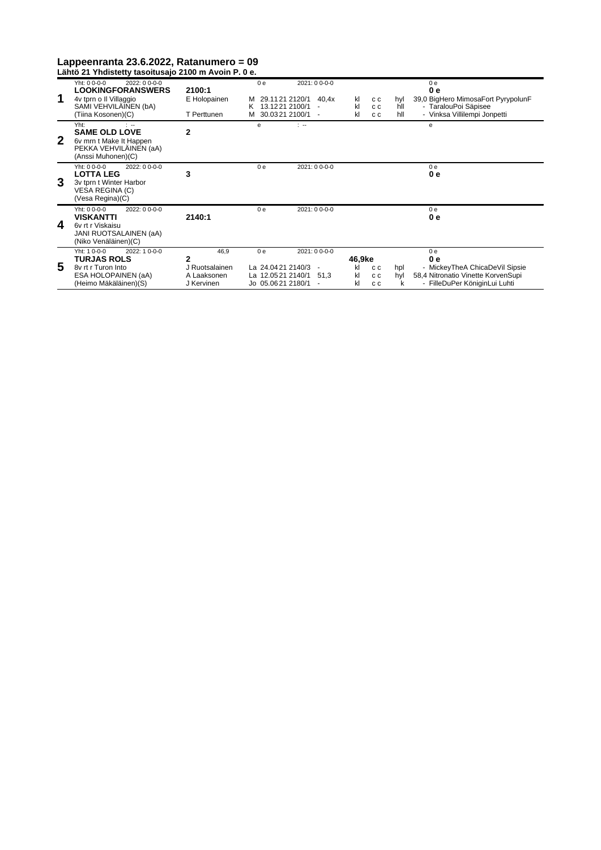|              | Lähtö 21 Yhdistetty tasoitusajo 2100 m Avoin P. 0 e.                                                                               |                                                          |                                                                               |                                                   |                                               |                   |                                                                                                                                |
|--------------|------------------------------------------------------------------------------------------------------------------------------------|----------------------------------------------------------|-------------------------------------------------------------------------------|---------------------------------------------------|-----------------------------------------------|-------------------|--------------------------------------------------------------------------------------------------------------------------------|
| 1            | $2022:00-0-0$<br>Yht: 0 0-0-0<br><b>LOOKINGFORANSWERS</b><br>4v tprn o Il Villaggio<br>SAMI VEHVILÄINEN (bA)<br>(Tiina Kosonen)(C) | 2100:1<br>E Holopainen<br>T Perttunen                    | 0 <sub>e</sub><br>29.1121 2120/1<br>13.1221 2100/1<br>K.<br>M 30.0321 2100/1  | $2021:00-0-0$<br>40.4x                            | kl<br>c c<br>kl<br>c c<br>kl<br>C C           | hyl<br>hll<br>hll | 0 <sub>e</sub><br>0 e<br>39,0 BigHero MimosaFort PyrypolunF<br>- TaralouPoi Säpisee<br>- Vinksa Villilempi Jonpetti            |
| $\mathbf{2}$ | Yht:<br>$\mathbb{R}$<br><b>SAME OLD LOVE</b><br>6v mrn t Make It Happen<br>PEKKA VEHVILÄINEN (aA)<br>(Anssi Muhonen)(C)            | 2                                                        | e                                                                             | $\sim$                                            |                                               |                   | e                                                                                                                              |
| 3            | $Yht: 0 0-0-0$<br>2022: 0 0-0-0<br><b>LOTTA LEG</b><br>3v tprn t Winter Harbor<br>VESA REGINA (C)<br>(Vesa Regina)(C)              | 3                                                        | 0 <sub>e</sub>                                                                | 2021: 0 0-0-0                                     |                                               |                   | 0 <sub>e</sub><br>0 e                                                                                                          |
| 4            | Yht: 0 0-0-0<br>2022: 0 0-0-0<br><b>VISKANTTI</b><br>6v rt r Viskaisu<br>JANI RUOTSALAINEN (aA)<br>(Niko Venäläinen)(C)            | 2140:1                                                   | 0 <sub>e</sub>                                                                | 2021: 0 0-0-0                                     |                                               |                   | 0 <sub>e</sub><br>0 e                                                                                                          |
| 5            | Yht: 1 0-0-0<br>2022: 1 0-0-0<br><b>TURJAS ROLS</b><br>8v rt r Turon Into<br>ESA HOLOPAINEN (aA)<br>(Heimo Mäkäläinen)(S)          | 46.9<br>2<br>J Ruotsalainen<br>A Laaksonen<br>J Kervinen | 0 <sub>e</sub><br>La 24.0421 2140/3<br>La 12.0521 2140/1<br>Jo 05.0621 2180/1 | 2021: 0 0-0-0<br>$\overline{\phantom{a}}$<br>51,3 | 46.9ke<br>kl<br>c c<br>kl<br>c c<br>kl<br>C C | hpl<br>hyl<br>k   | 0 <sub>e</sub><br>0 e<br>- MickeyTheA ChicaDeVil Sipsie<br>58,4 Nitronatio Vinette KorvenSupi<br>- FilleDuPer KöniginLui Luhti |